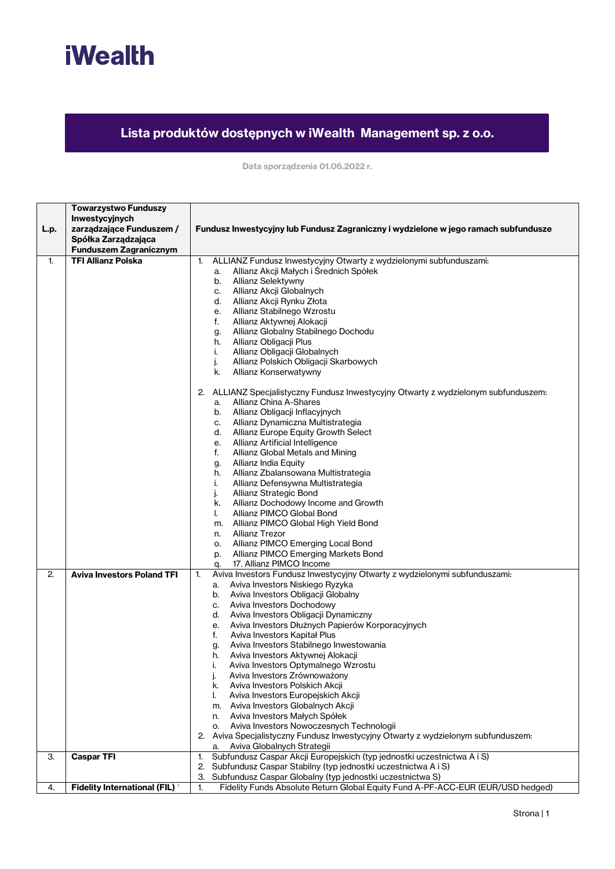

## **Lista produktów dostępnych w iWealth Management sp. z o.o.**

**Data sporządzenia 01.06.2022 r.**

|      | <b>Towarzystwo Funduszy</b><br>Inwestycyjnych   |                                                                                                                       |
|------|-------------------------------------------------|-----------------------------------------------------------------------------------------------------------------------|
| L.p. | zarządzające Funduszem /<br>Spółka Zarządzająca | Fundusz Inwestycyjny lub Fundusz Zagraniczny i wydzielone w jego ramach subfundusze                                   |
|      | <b>Funduszem Zagranicznym</b>                   |                                                                                                                       |
| 1.   | <b>TFI Allianz Polska</b>                       | ALLIANZ Fundusz Inwestycyjny Otwarty z wydzielonymi subfunduszami:<br>1.                                              |
|      |                                                 | Allianz Akcji Małych i Średnich Spółek<br>a.                                                                          |
|      |                                                 | Allianz Selektywny<br>b.                                                                                              |
|      |                                                 | Allianz Akcji Globalnych<br>C.                                                                                        |
|      |                                                 | Allianz Akcji Rynku Złota<br>d.                                                                                       |
|      |                                                 | Allianz Stabilnego Wzrostu<br>е.                                                                                      |
|      |                                                 | Allianz Aktywnej Alokacji<br>f.                                                                                       |
|      |                                                 | Allianz Globalny Stabilnego Dochodu<br>g.                                                                             |
|      |                                                 | Allianz Obligacji Plus<br>h.<br>Allianz Obligacji Globalnych<br>i.                                                    |
|      |                                                 | j.<br>Allianz Polskich Obligacji Skarbowych                                                                           |
|      |                                                 | Allianz Konserwatywny<br>k.                                                                                           |
|      |                                                 |                                                                                                                       |
|      |                                                 | 2. ALLIANZ Specjalistyczny Fundusz Inwestycyjny Otwarty z wydzielonym subfunduszem:                                   |
|      |                                                 | Allianz China A-Shares<br>a.                                                                                          |
|      |                                                 | b. Allianz Obligacji Inflacyjnych<br>Allianz Dynamiczna Multistrategia                                                |
|      |                                                 | C.<br>Allianz Europe Equity Growth Select<br>d.                                                                       |
|      |                                                 | Allianz Artificial Intelligence<br>е.                                                                                 |
|      |                                                 | Allianz Global Metals and Mining<br>f.                                                                                |
|      |                                                 | Allianz India Equity<br>g.                                                                                            |
|      |                                                 | Allianz Zbalansowana Multistrategia<br>h.                                                                             |
|      |                                                 | Allianz Defensywna Multistrategia<br>i.                                                                               |
|      |                                                 | Allianz Strategic Bond<br>j.                                                                                          |
|      |                                                 | Allianz Dochodowy Income and Growth<br>k.                                                                             |
|      |                                                 | Allianz PIMCO Global Bond<br>I.                                                                                       |
|      |                                                 | m. Allianz PIMCO Global High Yield Bond<br><b>Allianz Trezor</b><br>n.                                                |
|      |                                                 | Allianz PIMCO Emerging Local Bond<br>о.                                                                               |
|      |                                                 | Allianz PIMCO Emerging Markets Bond<br>p.                                                                             |
|      |                                                 | 17. Allianz PIMCO Income<br>q.                                                                                        |
| 2.   | <b>Aviva Investors Poland TFI</b>               | Aviva Investors Fundusz Inwestycyjny Otwarty z wydzielonymi subfunduszami:<br>1.                                      |
|      |                                                 | Aviva Investors Niskiego Ryzyka<br>a.                                                                                 |
|      |                                                 | Aviva Investors Obligacji Globalny<br>b.                                                                              |
|      |                                                 | Aviva Investors Dochodowy<br>C.                                                                                       |
|      |                                                 | Aviva Investors Obligacji Dynamiczny<br>d.                                                                            |
|      |                                                 | Aviva Investors Dłużnych Papierów Korporacyjnych<br>е.<br>Aviva Investors Kapitał Plus<br>f.                          |
|      |                                                 | Aviva Investors Stabilnego Inwestowania<br>g.                                                                         |
|      |                                                 | Aviva Investors Aktywnej Alokacji<br>h.                                                                               |
|      |                                                 | Aviva Investors Optymalnego Wzrostu<br>i.                                                                             |
|      |                                                 | Aviva Investors Zrównoważony<br>j.                                                                                    |
|      |                                                 | Aviva Investors Polskich Akcji<br>k.                                                                                  |
|      |                                                 | Aviva Investors Europejskich Akcji<br>I.                                                                              |
|      |                                                 | m. Aviva Investors Globalnych Akcji                                                                                   |
|      |                                                 | n. Aviva Investors Małych Spółek                                                                                      |
|      |                                                 | o. Aviva Investors Nowoczesnych Technologii                                                                           |
|      |                                                 | 2. Aviva Specjalistyczny Fundusz Inwestycyjny Otwarty z wydzielonym subfunduszem:<br>Aviva Globalnych Strategii<br>a. |
| 3.   | <b>Caspar TFI</b>                               | Subfundusz Caspar Akcji Europejskich (typ jednostki uczestnictwa A i S)<br>1.                                         |
|      |                                                 | 2. Subfundusz Caspar Stabilny (typ jednostki uczestnictwa A i S)                                                      |
|      |                                                 | Subfundusz Caspar Globalny (typ jednostki uczestnictwa S)<br>З.                                                       |
| 4.   | Fidelity International (FIL) <sup>1</sup>       | Fidelity Funds Absolute Return Global Equity Fund A-PF-ACC-EUR (EUR/USD hedged)<br>$\mathbf{1}$                       |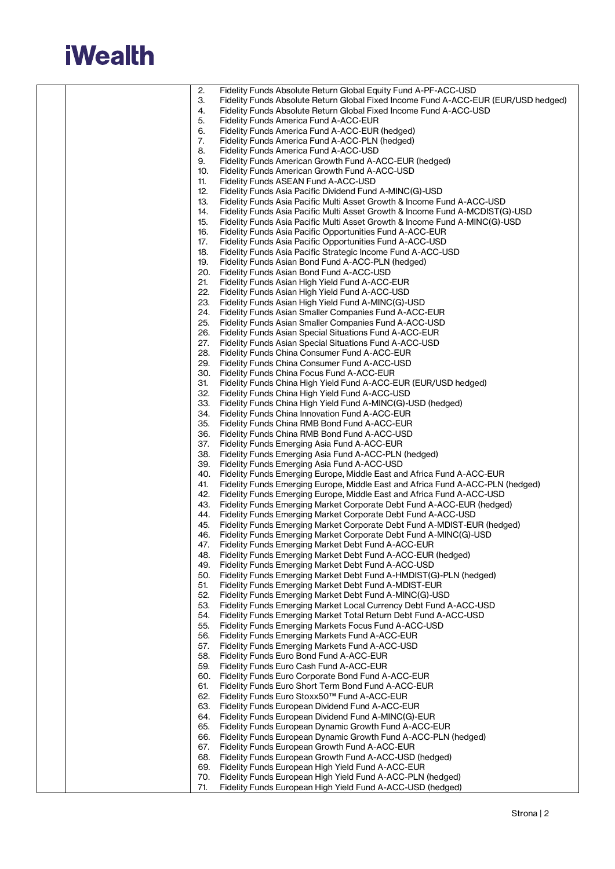## **iWealth**

|  | 2.  | Fidelity Funds Absolute Return Global Equity Fund A-PF-ACC-USD                     |
|--|-----|------------------------------------------------------------------------------------|
|  | 3.  | Fidelity Funds Absolute Return Global Fixed Income Fund A-ACC-EUR (EUR/USD hedged) |
|  | 4.  | Fidelity Funds Absolute Return Global Fixed Income Fund A-ACC-USD                  |
|  | 5.  | Fidelity Funds America Fund A-ACC-EUR                                              |
|  |     |                                                                                    |
|  | 6.  | Fidelity Funds America Fund A-ACC-EUR (hedged)                                     |
|  | 7.  | Fidelity Funds America Fund A-ACC-PLN (hedged)                                     |
|  | 8.  | Fidelity Funds America Fund A-ACC-USD                                              |
|  | 9.  | Fidelity Funds American Growth Fund A-ACC-EUR (hedged)                             |
|  | 10. | Fidelity Funds American Growth Fund A-ACC-USD                                      |
|  | 11. | Fidelity Funds ASEAN Fund A-ACC-USD                                                |
|  | 12. |                                                                                    |
|  |     | Fidelity Funds Asia Pacific Dividend Fund A-MINC(G)-USD                            |
|  | 13. | Fidelity Funds Asia Pacific Multi Asset Growth & Income Fund A-ACC-USD             |
|  | 14. | Fidelity Funds Asia Pacific Multi Asset Growth & Income Fund A-MCDIST(G)-USD       |
|  | 15. | Fidelity Funds Asia Pacific Multi Asset Growth & Income Fund A-MINC(G)-USD         |
|  | 16. | Fidelity Funds Asia Pacific Opportunities Fund A-ACC-EUR                           |
|  | 17. | Fidelity Funds Asia Pacific Opportunities Fund A-ACC-USD                           |
|  | 18. | Fidelity Funds Asia Pacific Strategic Income Fund A-ACC-USD                        |
|  | 19. | Fidelity Funds Asian Bond Fund A-ACC-PLN (hedged)                                  |
|  |     |                                                                                    |
|  | 20. | Fidelity Funds Asian Bond Fund A-ACC-USD                                           |
|  | 21. | Fidelity Funds Asian High Yield Fund A-ACC-EUR                                     |
|  | 22. | Fidelity Funds Asian High Yield Fund A-ACC-USD                                     |
|  | 23. | Fidelity Funds Asian High Yield Fund A-MINC(G)-USD                                 |
|  | 24. | Fidelity Funds Asian Smaller Companies Fund A-ACC-EUR                              |
|  | 25. | Fidelity Funds Asian Smaller Companies Fund A-ACC-USD                              |
|  | 26. | Fidelity Funds Asian Special Situations Fund A-ACC-EUR                             |
|  | 27. | Fidelity Funds Asian Special Situations Fund A-ACC-USD                             |
|  |     |                                                                                    |
|  | 28. | Fidelity Funds China Consumer Fund A-ACC-EUR                                       |
|  | 29. | Fidelity Funds China Consumer Fund A-ACC-USD                                       |
|  | 30. | Fidelity Funds China Focus Fund A-ACC-EUR                                          |
|  | 31. | Fidelity Funds China High Yield Fund A-ACC-EUR (EUR/USD hedged)                    |
|  | 32. | Fidelity Funds China High Yield Fund A-ACC-USD                                     |
|  | 33. | Fidelity Funds China High Yield Fund A-MINC(G)-USD (hedged)                        |
|  | 34. | Fidelity Funds China Innovation Fund A-ACC-EUR                                     |
|  | 35. | Fidelity Funds China RMB Bond Fund A-ACC-EUR                                       |
|  | 36. | Fidelity Funds China RMB Bond Fund A-ACC-USD                                       |
|  | 37. | Fidelity Funds Emerging Asia Fund A-ACC-EUR                                        |
|  | 38. | Fidelity Funds Emerging Asia Fund A-ACC-PLN (hedged)                               |
|  |     |                                                                                    |
|  | 39. | Fidelity Funds Emerging Asia Fund A-ACC-USD                                        |
|  | 40. | Fidelity Funds Emerging Europe, Middle East and Africa Fund A-ACC-EUR              |
|  | 41. | Fidelity Funds Emerging Europe, Middle East and Africa Fund A-ACC-PLN (hedged)     |
|  | 42. | Fidelity Funds Emerging Europe, Middle East and Africa Fund A-ACC-USD              |
|  | 43. | Fidelity Funds Emerging Market Corporate Debt Fund A-ACC-EUR (hedged)              |
|  | 44. | Fidelity Funds Emerging Market Corporate Debt Fund A-ACC-USD                       |
|  | 45. | Fidelity Funds Emerging Market Corporate Debt Fund A-MDIST-EUR (hedged)            |
|  | 46. | Fidelity Funds Emerging Market Corporate Debt Fund A-MINC(G)-USD                   |
|  |     | Fidelity Funds Emerging Market Debt Fund A-ACC-EUR                                 |
|  | 47. |                                                                                    |
|  | 48. | Fidelity Funds Emerging Market Debt Fund A-ACC-EUR (hedged)                        |
|  | 49. | Fidelity Funds Emerging Market Debt Fund A-ACC-USD                                 |
|  | 50. | Fidelity Funds Emerging Market Debt Fund A-HMDIST(G)-PLN (hedged)                  |
|  | 51. | Fidelity Funds Emerging Market Debt Fund A-MDIST-EUR                               |
|  | 52. | Fidelity Funds Emerging Market Debt Fund A-MINC(G)-USD                             |
|  | 53. | Fidelity Funds Emerging Market Local Currency Debt Fund A-ACC-USD                  |
|  | 54. | Fidelity Funds Emerging Market Total Return Debt Fund A-ACC-USD                    |
|  | 55. | Fidelity Funds Emerging Markets Focus Fund A-ACC-USD                               |
|  | 56. |                                                                                    |
|  |     | Fidelity Funds Emerging Markets Fund A-ACC-EUR                                     |
|  | 57. | Fidelity Funds Emerging Markets Fund A-ACC-USD                                     |
|  | 58. | Fidelity Funds Euro Bond Fund A-ACC-EUR                                            |
|  | 59. | Fidelity Funds Euro Cash Fund A-ACC-EUR                                            |
|  | 60. | Fidelity Funds Euro Corporate Bond Fund A-ACC-EUR                                  |
|  | 61. | Fidelity Funds Euro Short Term Bond Fund A-ACC-EUR                                 |
|  | 62. | Fidelity Funds Euro Stoxx50™ Fund A-ACC-EUR                                        |
|  | 63. | Fidelity Funds European Dividend Fund A-ACC-EUR                                    |
|  | 64. | Fidelity Funds European Dividend Fund A-MINC(G)-EUR                                |
|  | 65. | Fidelity Funds European Dynamic Growth Fund A-ACC-EUR                              |
|  | 66. | Fidelity Funds European Dynamic Growth Fund A-ACC-PLN (hedged)                     |
|  | 67. | Fidelity Funds European Growth Fund A-ACC-EUR                                      |
|  | 68. | Fidelity Funds European Growth Fund A-ACC-USD (hedged)                             |
|  |     |                                                                                    |
|  | 69. | Fidelity Funds European High Yield Fund A-ACC-EUR                                  |
|  | 70. | Fidelity Funds European High Yield Fund A-ACC-PLN (hedged)                         |
|  | 71. | Fidelity Funds European High Yield Fund A-ACC-USD (hedged)                         |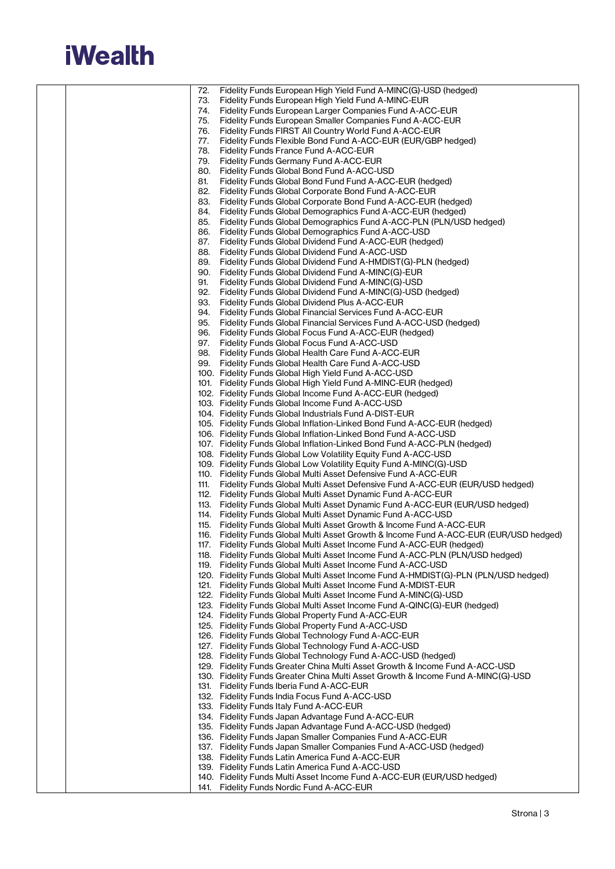

|  | 72.        | Fidelity Funds European High Yield Fund A-MINC(G)-USD (hedged)                                                                                                  |
|--|------------|-----------------------------------------------------------------------------------------------------------------------------------------------------------------|
|  | 73.        | Fidelity Funds European High Yield Fund A-MINC-EUR                                                                                                              |
|  | 74.        | Fidelity Funds European Larger Companies Fund A-ACC-EUR                                                                                                         |
|  | 75.        | Fidelity Funds European Smaller Companies Fund A-ACC-EUR                                                                                                        |
|  | 76.<br>77. | Fidelity Funds FIRST All Country World Fund A-ACC-EUR<br>Fidelity Funds Flexible Bond Fund A-ACC-EUR (EUR/GBP hedged)                                           |
|  | 78.        | Fidelity Funds France Fund A-ACC-EUR                                                                                                                            |
|  | 79.        | Fidelity Funds Germany Fund A-ACC-EUR                                                                                                                           |
|  |            | 80. Fidelity Funds Global Bond Fund A-ACC-USD                                                                                                                   |
|  | 81.        | Fidelity Funds Global Bond Fund Fund A-ACC-EUR (hedged)                                                                                                         |
|  | 82.        | Fidelity Funds Global Corporate Bond Fund A-ACC-EUR                                                                                                             |
|  | 83.        | Fidelity Funds Global Corporate Bond Fund A-ACC-EUR (hedged)                                                                                                    |
|  | 84.        | Fidelity Funds Global Demographics Fund A-ACC-EUR (hedged)                                                                                                      |
|  | 85.        | Fidelity Funds Global Demographics Fund A-ACC-PLN (PLN/USD hedged)                                                                                              |
|  | 86.        | Fidelity Funds Global Demographics Fund A-ACC-USD                                                                                                               |
|  | 87.        | Fidelity Funds Global Dividend Fund A-ACC-EUR (hedged)                                                                                                          |
|  | 88.<br>89. | Fidelity Funds Global Dividend Fund A-ACC-USD<br>Fidelity Funds Global Dividend Fund A-HMDIST(G)-PLN (hedged)                                                   |
|  | 90.        | Fidelity Funds Global Dividend Fund A-MINC(G)-EUR                                                                                                               |
|  | 91.        | Fidelity Funds Global Dividend Fund A-MINC(G)-USD                                                                                                               |
|  | 92.        | Fidelity Funds Global Dividend Fund A-MINC(G)-USD (hedged)                                                                                                      |
|  | 93.        | Fidelity Funds Global Dividend Plus A-ACC-EUR                                                                                                                   |
|  |            | 94. Fidelity Funds Global Financial Services Fund A-ACC-EUR                                                                                                     |
|  | 95.        | Fidelity Funds Global Financial Services Fund A-ACC-USD (hedged)                                                                                                |
|  | 96.        | Fidelity Funds Global Focus Fund A-ACC-EUR (hedged)                                                                                                             |
|  | 97.        | Fidelity Funds Global Focus Fund A-ACC-USD                                                                                                                      |
|  |            | 98. Fidelity Funds Global Health Care Fund A-ACC-EUR                                                                                                            |
|  |            | 99. Fidelity Funds Global Health Care Fund A-ACC-USD<br>100. Fidelity Funds Global High Yield Fund A-ACC-USD                                                    |
|  |            | 101. Fidelity Funds Global High Yield Fund A-MINC-EUR (hedged)                                                                                                  |
|  |            | 102. Fidelity Funds Global Income Fund A-ACC-EUR (hedged)                                                                                                       |
|  |            | 103. Fidelity Funds Global Income Fund A-ACC-USD                                                                                                                |
|  |            | 104. Fidelity Funds Global Industrials Fund A-DIST-EUR                                                                                                          |
|  |            | 105. Fidelity Funds Global Inflation-Linked Bond Fund A-ACC-EUR (hedged)                                                                                        |
|  |            | 106. Fidelity Funds Global Inflation-Linked Bond Fund A-ACC-USD                                                                                                 |
|  |            | 107. Fidelity Funds Global Inflation-Linked Bond Fund A-ACC-PLN (hedged)<br>108. Fidelity Funds Global Low Volatility Equity Fund A-ACC-USD                     |
|  |            | 109. Fidelity Funds Global Low Volatility Equity Fund A-MINC(G)-USD                                                                                             |
|  |            | 110. Fidelity Funds Global Multi Asset Defensive Fund A-ACC-EUR                                                                                                 |
|  | 111.       | Fidelity Funds Global Multi Asset Defensive Fund A-ACC-EUR (EUR/USD hedged)                                                                                     |
|  |            | 112. Fidelity Funds Global Multi Asset Dynamic Fund A-ACC-EUR                                                                                                   |
|  |            | 113. Fidelity Funds Global Multi Asset Dynamic Fund A-ACC-EUR (EUR/USD hedged)                                                                                  |
|  |            | 114. Fidelity Funds Global Multi Asset Dynamic Fund A-ACC-USD                                                                                                   |
|  |            | 115. Fidelity Funds Global Multi Asset Growth & Income Fund A-ACC-EUR<br>116. Fidelity Funds Global Multi Asset Growth & Income Fund A-ACC-EUR (EUR/USD hedged) |
|  | 117.       | Fidelity Funds Global Multi Asset Income Fund A-ACC-EUR (hedged)                                                                                                |
|  |            | 118. Fidelity Funds Global Multi Asset Income Fund A-ACC-PLN (PLN/USD hedged)                                                                                   |
|  |            | 119. Fidelity Funds Global Multi Asset Income Fund A-ACC-USD                                                                                                    |
|  |            | 120. Fidelity Funds Global Multi Asset Income Fund A-HMDIST(G)-PLN (PLN/USD hedged)                                                                             |
|  |            | 121. Fidelity Funds Global Multi Asset Income Fund A-MDIST-EUR                                                                                                  |
|  |            | 122. Fidelity Funds Global Multi Asset Income Fund A-MINC(G)-USD                                                                                                |
|  |            | 123. Fidelity Funds Global Multi Asset Income Fund A-QINC(G)-EUR (hedged)<br>124. Fidelity Funds Global Property Fund A-ACC-EUR                                 |
|  |            | 125. Fidelity Funds Global Property Fund A-ACC-USD                                                                                                              |
|  |            | 126. Fidelity Funds Global Technology Fund A-ACC-EUR                                                                                                            |
|  |            | 127. Fidelity Funds Global Technology Fund A-ACC-USD                                                                                                            |
|  |            | 128. Fidelity Funds Global Technology Fund A-ACC-USD (hedged)                                                                                                   |
|  |            | 129. Fidelity Funds Greater China Multi Asset Growth & Income Fund A-ACC-USD                                                                                    |
|  |            | 130. Fidelity Funds Greater China Multi Asset Growth & Income Fund A-MINC(G)-USD                                                                                |
|  |            | 131. Fidelity Funds Iberia Fund A-ACC-EUR                                                                                                                       |
|  |            | 132. Fidelity Funds India Focus Fund A-ACC-USD<br>133. Fidelity Funds Italy Fund A-ACC-EUR                                                                      |
|  |            | 134. Fidelity Funds Japan Advantage Fund A-ACC-EUR                                                                                                              |
|  |            | 135. Fidelity Funds Japan Advantage Fund A-ACC-USD (hedged)                                                                                                     |
|  |            | 136. Fidelity Funds Japan Smaller Companies Fund A-ACC-EUR                                                                                                      |
|  |            | 137. Fidelity Funds Japan Smaller Companies Fund A-ACC-USD (hedged)                                                                                             |
|  |            | 138. Fidelity Funds Latin America Fund A-ACC-EUR                                                                                                                |
|  |            | 139. Fidelity Funds Latin America Fund A-ACC-USD                                                                                                                |
|  |            | 140. Fidelity Funds Multi Asset Income Fund A-ACC-EUR (EUR/USD hedged)<br>141. Fidelity Funds Nordic Fund A-ACC-EUR                                             |
|  |            |                                                                                                                                                                 |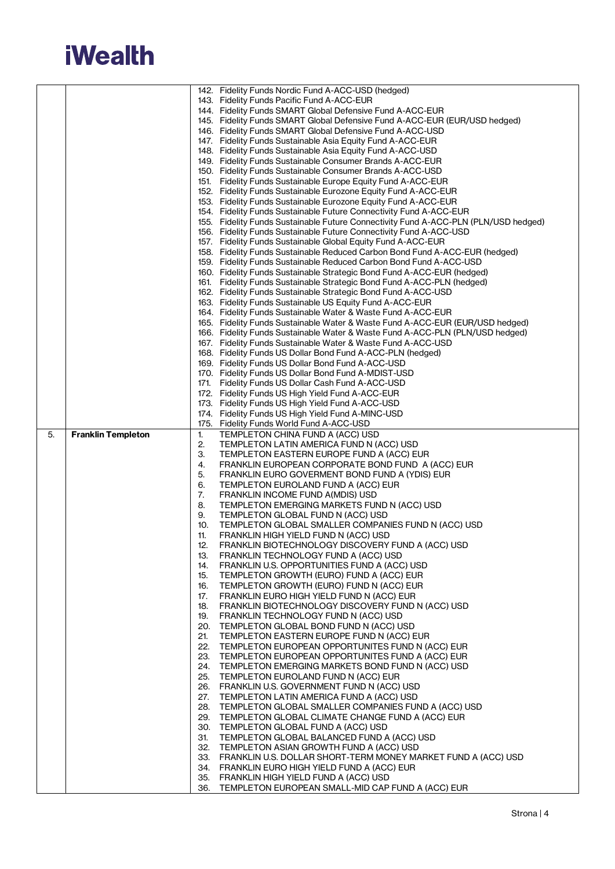## **iWealth**

|    |                           |            | 142. Fidelity Funds Nordic Fund A-ACC-USD (hedged)                                                                                                             |
|----|---------------------------|------------|----------------------------------------------------------------------------------------------------------------------------------------------------------------|
|    |                           |            | 143. Fidelity Funds Pacific Fund A-ACC-EUR                                                                                                                     |
|    |                           |            | 144. Fidelity Funds SMART Global Defensive Fund A-ACC-EUR                                                                                                      |
|    |                           |            | 145. Fidelity Funds SMART Global Defensive Fund A-ACC-EUR (EUR/USD hedged)                                                                                     |
|    |                           |            | 146. Fidelity Funds SMART Global Defensive Fund A-ACC-USD                                                                                                      |
|    |                           |            | 147. Fidelity Funds Sustainable Asia Equity Fund A-ACC-EUR                                                                                                     |
|    |                           |            | 148. Fidelity Funds Sustainable Asia Equity Fund A-ACC-USD                                                                                                     |
|    |                           |            | 149. Fidelity Funds Sustainable Consumer Brands A-ACC-EUR                                                                                                      |
|    |                           |            | 150. Fidelity Funds Sustainable Consumer Brands A-ACC-USD                                                                                                      |
|    |                           |            | 151. Fidelity Funds Sustainable Europe Equity Fund A-ACC-EUR                                                                                                   |
|    |                           |            | 152. Fidelity Funds Sustainable Eurozone Equity Fund A-ACC-EUR                                                                                                 |
|    |                           |            | 153. Fidelity Funds Sustainable Eurozone Equity Fund A-ACC-EUR                                                                                                 |
|    |                           |            | 154. Fidelity Funds Sustainable Future Connectivity Fund A-ACC-EUR                                                                                             |
|    |                           |            | 155. Fidelity Funds Sustainable Future Connectivity Fund A-ACC-PLN (PLN/USD hedged)                                                                            |
|    |                           |            | 156. Fidelity Funds Sustainable Future Connectivity Fund A-ACC-USD                                                                                             |
|    |                           |            | 157. Fidelity Funds Sustainable Global Equity Fund A-ACC-EUR                                                                                                   |
|    |                           |            | 158. Fidelity Funds Sustainable Reduced Carbon Bond Fund A-ACC-EUR (hedged)                                                                                    |
|    |                           |            | 159. Fidelity Funds Sustainable Reduced Carbon Bond Fund A-ACC-USD                                                                                             |
|    |                           |            | 160. Fidelity Funds Sustainable Strategic Bond Fund A-ACC-EUR (hedged)                                                                                         |
|    |                           |            | 161. Fidelity Funds Sustainable Strategic Bond Fund A-ACC-PLN (hedged)                                                                                         |
|    |                           |            | 162. Fidelity Funds Sustainable Strategic Bond Fund A-ACC-USD                                                                                                  |
|    |                           |            | 163. Fidelity Funds Sustainable US Equity Fund A-ACC-EUR                                                                                                       |
|    |                           |            | 164. Fidelity Funds Sustainable Water & Waste Fund A-ACC-EUR                                                                                                   |
|    |                           |            | 165. Fidelity Funds Sustainable Water & Waste Fund A-ACC-EUR (EUR/USD hedged)<br>166. Fidelity Funds Sustainable Water & Waste Fund A-ACC-PLN (PLN/USD hedged) |
|    |                           |            | 167. Fidelity Funds Sustainable Water & Waste Fund A-ACC-USD                                                                                                   |
|    |                           |            | 168. Fidelity Funds US Dollar Bond Fund A-ACC-PLN (hedged)                                                                                                     |
|    |                           |            | 169. Fidelity Funds US Dollar Bond Fund A-ACC-USD                                                                                                              |
|    |                           |            | 170. Fidelity Funds US Dollar Bond Fund A-MDIST-USD                                                                                                            |
|    |                           |            | 171. Fidelity Funds US Dollar Cash Fund A-ACC-USD                                                                                                              |
|    |                           |            | 172. Fidelity Funds US High Yield Fund A-ACC-EUR                                                                                                               |
|    |                           |            | 173. Fidelity Funds US High Yield Fund A-ACC-USD                                                                                                               |
|    |                           |            | 174. Fidelity Funds US High Yield Fund A-MINC-USD                                                                                                              |
|    |                           |            | 175. Fidelity Funds World Fund A-ACC-USD                                                                                                                       |
| 5. | <b>Franklin Templeton</b> | 1.         | TEMPLETON CHINA FUND A (ACC) USD                                                                                                                               |
|    |                           | 2.         | TEMPLETON LATIN AMERICA FUND N (ACC) USD                                                                                                                       |
|    |                           | 3.         | TEMPLETON EASTERN EUROPE FUND A (ACC) EUR                                                                                                                      |
|    |                           | 4.         | FRANKLIN EUROPEAN CORPORATE BOND FUND A (ACC) EUR                                                                                                              |
|    |                           | 5.         | FRANKLIN EURO GOVERMENT BOND FUND A (YDIS) EUR                                                                                                                 |
|    |                           | 6.         | TEMPLETON EUROLAND FUND A (ACC) EUR                                                                                                                            |
|    |                           | 7.         | FRANKLIN INCOME FUND A(MDIS) USD                                                                                                                               |
|    |                           | 8.         | TEMPLETON EMERGING MARKETS FUND N (ACC) USD                                                                                                                    |
|    |                           | 9.         | TEMPLETON GLOBAL FUND N (ACC) USD                                                                                                                              |
|    |                           | 10.<br>11. | TEMPLETON GLOBAL SMALLER COMPANIES FUND N (ACC) USD                                                                                                            |
|    |                           | 12.        | FRANKLIN HIGH YIELD FUND N (ACC) USD<br>FRANKLIN BIOTECHNOLOGY DISCOVERY FUND A (ACC) USD                                                                      |
|    |                           | 13.        | FRANKLIN TECHNOLOGY FUND A (ACC) USD                                                                                                                           |
|    |                           |            | 14. FRANKLIN U.S. OPPORTUNITIES FUND A (ACC) USD                                                                                                               |
|    |                           | 15.        | TEMPLETON GROWTH (EURO) FUND A (ACC) EUR                                                                                                                       |
|    |                           | 16.        | TEMPLETON GROWTH (EURO) FUND N (ACC) EUR                                                                                                                       |
|    |                           | 17.        | FRANKLIN EURO HIGH YIELD FUND N (ACC) EUR                                                                                                                      |
|    |                           | 18.        | FRANKLIN BIOTECHNOLOGY DISCOVERY FUND N (ACC) USD                                                                                                              |
|    |                           | 19.        | FRANKLIN TECHNOLOGY FUND N (ACC) USD                                                                                                                           |
|    |                           |            | 20. TEMPLETON GLOBAL BOND FUND N (ACC) USD                                                                                                                     |
|    |                           | 21.        | TEMPLETON EASTERN EUROPE FUND N (ACC) EUR                                                                                                                      |
|    |                           | 22.        | TEMPLETON EUROPEAN OPPORTUNITES FUND N (ACC) EUR                                                                                                               |
|    |                           | 23.        | TEMPLETON EUROPEAN OPPORTUNITES FUND A (ACC) EUR                                                                                                               |
|    |                           |            | 24. TEMPLETON EMERGING MARKETS BOND FUND N (ACC) USD                                                                                                           |
|    |                           |            | 25. TEMPLETON EUROLAND FUND N (ACC) EUR                                                                                                                        |
|    |                           |            | 26. FRANKLIN U.S. GOVERNMENT FUND N (ACC) USD                                                                                                                  |
|    |                           | 27.        | TEMPLETON LATIN AMERICA FUND A (ACC) USD                                                                                                                       |
|    |                           |            | 28. TEMPLETON GLOBAL SMALLER COMPANIES FUND A (ACC) USD                                                                                                        |
|    |                           |            | 29. TEMPLETON GLOBAL CLIMATE CHANGE FUND A (ACC) EUR                                                                                                           |
|    |                           |            | 30. TEMPLETON GLOBAL FUND A (ACC) USD<br>TEMPLETON GLOBAL BALANCED FUND A (ACC) USD                                                                            |
|    |                           | 31.        | 32. TEMPLETON ASIAN GROWTH FUND A (ACC) USD                                                                                                                    |
|    |                           |            | 33. FRANKLIN U.S. DOLLAR SHORT-TERM MONEY MARKET FUND A (ACC) USD                                                                                              |
|    |                           |            |                                                                                                                                                                |
|    |                           |            |                                                                                                                                                                |
|    |                           |            | 34. FRANKLIN EURO HIGH YIELD FUND A (ACC) EUR<br>35. FRANKLIN HIGH YIELD FUND A (ACC) USD                                                                      |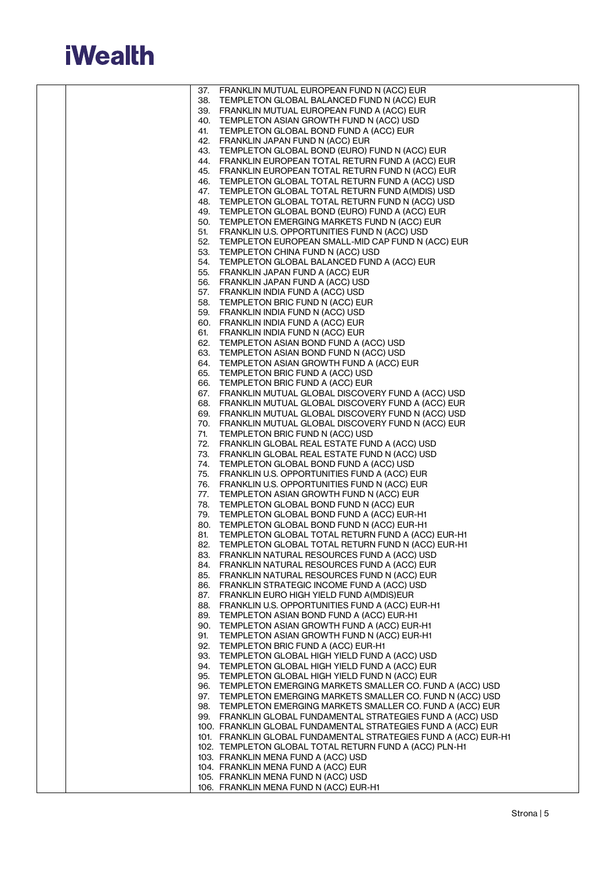

|  |     | 37. FRANKLIN MUTUAL EUROPEAN FUND N (ACC) EUR                                                                              |
|--|-----|----------------------------------------------------------------------------------------------------------------------------|
|  |     | 38. TEMPLETON GLOBAL BALANCED FUND N (ACC) EUR                                                                             |
|  |     | 39. FRANKLIN MUTUAL EUROPEAN FUND A (ACC) EUR                                                                              |
|  |     | 40. TEMPLETON ASIAN GROWTH FUND N (ACC) USD                                                                                |
|  | 41. | TEMPLETON GLOBAL BOND FUND A (ACC) EUR                                                                                     |
|  |     | 42. FRANKLIN JAPAN FUND N (ACC) EUR<br>43. TEMPLETON GLOBAL BOND (EURO) FUND N (ACC) EUR                                   |
|  |     | 44. FRANKLIN EUROPEAN TOTAL RETURN FUND A (ACC) EUR                                                                        |
|  |     | 45. FRANKLIN EUROPEAN TOTAL RETURN FUND N (ACC) EUR                                                                        |
|  |     | 46. TEMPLETON GLOBAL TOTAL RETURN FUND A (ACC) USD                                                                         |
|  |     | 47. TEMPLETON GLOBAL TOTAL RETURN FUND A(MDIS) USD                                                                         |
|  |     | 48. TEMPLETON GLOBAL TOTAL RETURN FUND N (ACC) USD                                                                         |
|  |     | 49. TEMPLETON GLOBAL BOND (EURO) FUND A (ACC) EUR                                                                          |
|  |     | 50. TEMPLETON EMERGING MARKETS FUND N (ACC) EUR                                                                            |
|  |     | 51. FRANKLIN U.S. OPPORTUNITIES FUND N (ACC) USD                                                                           |
|  |     | 52. TEMPLETON EUROPEAN SMALL-MID CAP FUND N (ACC) EUR                                                                      |
|  |     | 53. TEMPLETON CHINA FUND N (ACC) USD<br>54. TEMPLETON GLOBAL BALANCED FUND A (ACC) EUR                                     |
|  |     | 55. FRANKLIN JAPAN FUND A (ACC) EUR                                                                                        |
|  |     | 56. FRANKLIN JAPAN FUND A (ACC) USD                                                                                        |
|  |     | 57. FRANKLIN INDIA FUND A (ACC) USD                                                                                        |
|  |     | 58. TEMPLETON BRIC FUND N (ACC) EUR                                                                                        |
|  |     | 59. FRANKLIN INDIA FUND N (ACC) USD                                                                                        |
|  |     | 60. FRANKLIN INDIA FUND A (ACC) EUR                                                                                        |
|  |     | 61. FRANKLIN INDIA FUND N (ACC) EUR                                                                                        |
|  |     | 62. TEMPLETON ASIAN BOND FUND A (ACC) USD                                                                                  |
|  |     | 63. TEMPLETON ASIAN BOND FUND N (ACC) USD                                                                                  |
|  |     | 64. TEMPLETON ASIAN GROWTH FUND A (ACC) EUR<br>65. TEMPLETON BRIC FUND A (ACC) USD                                         |
|  |     | 66. TEMPLETON BRIC FUND A (ACC) EUR                                                                                        |
|  |     | 67. FRANKLIN MUTUAL GLOBAL DISCOVERY FUND A (ACC) USD                                                                      |
|  |     | 68. FRANKLIN MUTUAL GLOBAL DISCOVERY FUND A (ACC) EUR                                                                      |
|  |     | 69. FRANKLIN MUTUAL GLOBAL DISCOVERY FUND N (ACC) USD                                                                      |
|  |     | 70. FRANKLIN MUTUAL GLOBAL DISCOVERY FUND N (ACC) EUR                                                                      |
|  | 71. | TEMPLETON BRIC FUND N (ACC) USD                                                                                            |
|  |     | 72. FRANKLIN GLOBAL REAL ESTATE FUND A (ACC) USD<br>73. FRANKLIN GLOBAL REAL ESTATE FUND N (ACC) USD                       |
|  |     | 74. TEMPLETON GLOBAL BOND FUND A (ACC) USD                                                                                 |
|  |     | 75. FRANKLIN U.S. OPPORTUNITIES FUND A (ACC) EUR                                                                           |
|  |     | 76. FRANKLIN U.S. OPPORTUNITIES FUND N (ACC) EUR                                                                           |
|  |     | 77. TEMPLETON ASIAN GROWTH FUND N (ACC) EUR                                                                                |
|  |     | 78. TEMPLETON GLOBAL BOND FUND N (ACC) EUR                                                                                 |
|  |     | 79. TEMPLETON GLOBAL BOND FUND A (ACC) EUR-H1                                                                              |
|  |     | 80. TEMPLETON GLOBAL BOND FUND N (ACC) EUR-H1                                                                              |
|  |     | 81. TEMPLETON GLOBAL TOTAL RETURN FUND A (ACC) EUR-H1<br>82. TEMPLETON GLOBAL TOTAL RETURN FUND N (ACC) EUR-H1             |
|  |     | 83. FRANKLIN NATURAL RESOURCES FUND A (ACC) USD                                                                            |
|  |     | 84. FRANKLIN NATURAL RESOURCES FUND A (ACC) EUR                                                                            |
|  |     | 85. FRANKLIN NATURAL RESOURCES FUND N (ACC) EUR                                                                            |
|  |     | 86. FRANKLIN STRATEGIC INCOME FUND A (ACC) USD                                                                             |
|  |     | 87. FRANKLIN EURO HIGH YIELD FUND A(MDIS)EUR                                                                               |
|  |     | 88. FRANKLIN U.S. OPPORTUNITIES FUND A (ACC) EUR-H1                                                                        |
|  |     | 89. TEMPLETON ASIAN BOND FUND A (ACC) EUR-H1<br>90. TEMPLETON ASIAN GROWTH FUND A (ACC) EUR-H1                             |
|  | 91. | TEMPLETON ASIAN GROWTH FUND N (ACC) EUR-H1                                                                                 |
|  |     | 92. TEMPLETON BRIC FUND A (ACC) EUR-H1                                                                                     |
|  |     | 93. TEMPLETON GLOBAL HIGH YIELD FUND A (ACC) USD                                                                           |
|  |     | 94. TEMPLETON GLOBAL HIGH YIELD FUND A (ACC) EUR                                                                           |
|  |     | 95. TEMPLETON GLOBAL HIGH YIELD FUND N (ACC) EUR                                                                           |
|  |     | 96. TEMPLETON EMERGING MARKETS SMALLER CO. FUND A (ACC) USD                                                                |
|  |     | 97. TEMPLETON EMERGING MARKETS SMALLER CO. FUND N (ACC) USD                                                                |
|  |     | 98. TEMPLETON EMERGING MARKETS SMALLER CO. FUND A (ACC) EUR<br>99. FRANKLIN GLOBAL FUNDAMENTAL STRATEGIES FUND A (ACC) USD |
|  |     | 100. FRANKLIN GLOBAL FUNDAMENTAL STRATEGIES FUND A (ACC) EUR                                                               |
|  |     | 101. FRANKLIN GLOBAL FUNDAMENTAL STRATEGIES FUND A (ACC) EUR-H1                                                            |
|  |     | 102. TEMPLETON GLOBAL TOTAL RETURN FUND A (ACC) PLN-H1                                                                     |
|  |     | 103. FRANKLIN MENA FUND A (ACC) USD                                                                                        |
|  |     | 104. FRANKLIN MENA FUND A (ACC) EUR                                                                                        |
|  |     | 105. FRANKLIN MENA FUND N (ACC) USD                                                                                        |
|  |     | 106. FRANKLIN MENA FUND N (ACC) EUR-H1                                                                                     |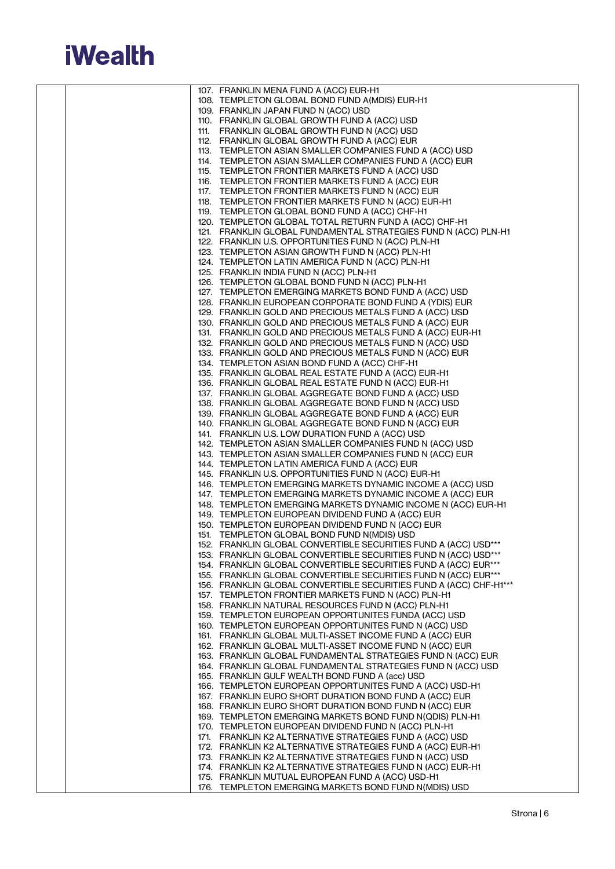

|  | 107. FRANKLIN MENA FUND A (ACC) EUR-H1                                                                                  |
|--|-------------------------------------------------------------------------------------------------------------------------|
|  | 108. TEMPLETON GLOBAL BOND FUND A(MDIS) EUR-H1                                                                          |
|  | 109. FRANKLIN JAPAN FUND N (ACC) USD                                                                                    |
|  | 110. FRANKLIN GLOBAL GROWTH FUND A (ACC) USD                                                                            |
|  | 111. FRANKLIN GLOBAL GROWTH FUND N (ACC) USD                                                                            |
|  | 112. FRANKLIN GLOBAL GROWTH FUND A (ACC) EUR                                                                            |
|  | 113. TEMPLETON ASIAN SMALLER COMPANIES FUND A (ACC) USD                                                                 |
|  | 114. TEMPLETON ASIAN SMALLER COMPANIES FUND A (ACC) EUR                                                                 |
|  | 115. TEMPLETON FRONTIER MARKETS FUND A (ACC) USD                                                                        |
|  | 116. TEMPLETON FRONTIER MARKETS FUND A (ACC) EUR                                                                        |
|  | 117. TEMPLETON FRONTIER MARKETS FUND N (ACC) EUR                                                                        |
|  | 118. TEMPLETON FRONTIER MARKETS FUND N (ACC) EUR-H1                                                                     |
|  | 119. TEMPLETON GLOBAL BOND FUND A (ACC) CHF-H1                                                                          |
|  | 120. TEMPLETON GLOBAL TOTAL RETURN FUND A (ACC) CHF-H1                                                                  |
|  | 121. FRANKLIN GLOBAL FUNDAMENTAL STRATEGIES FUND N (ACC) PLN-H1                                                         |
|  | 122. FRANKLIN U.S. OPPORTUNITIES FUND N (ACC) PLN-H1                                                                    |
|  | 123. TEMPLETON ASIAN GROWTH FUND N (ACC) PLN-H1                                                                         |
|  | 124. TEMPLETON LATIN AMERICA FUND N (ACC) PLN-H1                                                                        |
|  | 125. FRANKLIN INDIA FUND N (ACC) PLN-H1                                                                                 |
|  | 126. TEMPLETON GLOBAL BOND FUND N (ACC) PLN-H1                                                                          |
|  | 127. TEMPLETON EMERGING MARKETS BOND FUND A (ACC) USD                                                                   |
|  | 128. FRANKLIN EUROPEAN CORPORATE BOND FUND A (YDIS) EUR                                                                 |
|  | 129. FRANKLIN GOLD AND PRECIOUS METALS FUND A (ACC) USD                                                                 |
|  | 130. FRANKLIN GOLD AND PRECIOUS METALS FUND A (ACC) EUR<br>131. FRANKLIN GOLD AND PRECIOUS METALS FUND A (ACC) EUR-H1   |
|  | 132. FRANKLIN GOLD AND PRECIOUS METALS FUND N (ACC) USD                                                                 |
|  | 133. FRANKLIN GOLD AND PRECIOUS METALS FUND N (ACC) EUR                                                                 |
|  | 134. TEMPLETON ASIAN BOND FUND A (ACC) CHF-H1                                                                           |
|  | 135. FRANKLIN GLOBAL REAL ESTATE FUND A (ACC) EUR-H1                                                                    |
|  | 136. FRANKLIN GLOBAL REAL ESTATE FUND N (ACC) EUR-H1                                                                    |
|  | 137. FRANKLIN GLOBAL AGGREGATE BOND FUND A (ACC) USD                                                                    |
|  | 138. FRANKLIN GLOBAL AGGREGATE BOND FUND N (ACC) USD                                                                    |
|  | 139. FRANKLIN GLOBAL AGGREGATE BOND FUND A (ACC) EUR                                                                    |
|  | 140. FRANKLIN GLOBAL AGGREGATE BOND FUND N (ACC) EUR                                                                    |
|  | 141. FRANKLIN U.S. LOW DURATION FUND A (ACC) USD                                                                        |
|  | 142. TEMPLETON ASIAN SMALLER COMPANIES FUND N (ACC) USD                                                                 |
|  | 143. TEMPLETON ASIAN SMALLER COMPANIES FUND N (ACC) EUR                                                                 |
|  | 144. TEMPLETON LATIN AMERICA FUND A (ACC) EUR                                                                           |
|  | 145. FRANKLIN U.S. OPPORTUNITIES FUND N (ACC) EUR-H1                                                                    |
|  | 146. TEMPLETON EMERGING MARKETS DYNAMIC INCOME A (ACC) USD                                                              |
|  | 147. TEMPLETON EMERGING MARKETS DYNAMIC INCOME A (ACC) EUR                                                              |
|  | 148. TEMPLETON EMERGING MARKETS DYNAMIC INCOME N (ACC) EUR-H1                                                           |
|  | 149. TEMPLETON EUROPEAN DIVIDEND FUND A (ACC) EUR                                                                       |
|  | 150. TEMPLETON EUROPEAN DIVIDEND FUND N (ACC) EUR<br>151. TEMPLETON GLOBAL BOND FUND N(MDIS) USD                        |
|  | 152. FRANKLIN GLOBAL CONVERTIBLE SECURITIES FUND A (ACC) USD***                                                         |
|  | 153. FRANKLIN GLOBAL CONVERTIBLE SECURITIES FUND N (ACC) USD***                                                         |
|  | 154. FRANKLIN GLOBAL CONVERTIBLE SECURITIES FUND A (ACC) EUR***                                                         |
|  | 155. FRANKLIN GLOBAL CONVERTIBLE SECURITIES FUND N (ACC) EUR***                                                         |
|  | 156. FRANKLIN GLOBAL CONVERTIBLE SECURITIES FUND A (ACC) CHF-H1***                                                      |
|  | 157. TEMPLETON FRONTIER MARKETS FUND N (ACC) PLN-H1                                                                     |
|  | 158. FRANKLIN NATURAL RESOURCES FUND N (ACC) PLN-H1                                                                     |
|  | 159. TEMPLETON EUROPEAN OPPORTUNITES FUNDA (ACC) USD                                                                    |
|  | 160. TEMPLETON EUROPEAN OPPORTUNITES FUND N (ACC) USD                                                                   |
|  | 161. FRANKLIN GLOBAL MULTI-ASSET INCOME FUND A (ACC) EUR                                                                |
|  | 162. FRANKLIN GLOBAL MULTI-ASSET INCOME FUND N (ACC) EUR                                                                |
|  | 163. FRANKLIN GLOBAL FUNDAMENTAL STRATEGIES FUND N (ACC) EUR                                                            |
|  | 164. FRANKLIN GLOBAL FUNDAMENTAL STRATEGIES FUND N (ACC) USD                                                            |
|  | 165. FRANKLIN GULF WEALTH BOND FUND A (acc) USD                                                                         |
|  | 166. TEMPLETON EUROPEAN OPPORTUNITES FUND A (ACC) USD-H1                                                                |
|  | 167. FRANKLIN EURO SHORT DURATION BOND FUND A (ACC) EUR                                                                 |
|  | 168. FRANKLIN EURO SHORT DURATION BOND FUND N (ACC) EUR                                                                 |
|  | 169. TEMPLETON EMERGING MARKETS BOND FUND N(QDIS) PLN-H1                                                                |
|  | 170. TEMPLETON EUROPEAN DIVIDEND FUND N (ACC) PLN-H1                                                                    |
|  | 171. FRANKLIN K2 ALTERNATIVE STRATEGIES FUND A (ACC) USD                                                                |
|  | 172. FRANKLIN K2 ALTERNATIVE STRATEGIES FUND A (ACC) EUR-H1<br>173. FRANKLIN K2 ALTERNATIVE STRATEGIES FUND N (ACC) USD |
|  | 174. FRANKLIN K2 ALTERNATIVE STRATEGIES FUND N (ACC) EUR-H1                                                             |
|  | 175. FRANKLIN MUTUAL EUROPEAN FUND A (ACC) USD-H1                                                                       |
|  | 176. TEMPLETON EMERGING MARKETS BOND FUND N(MDIS) USD                                                                   |
|  |                                                                                                                         |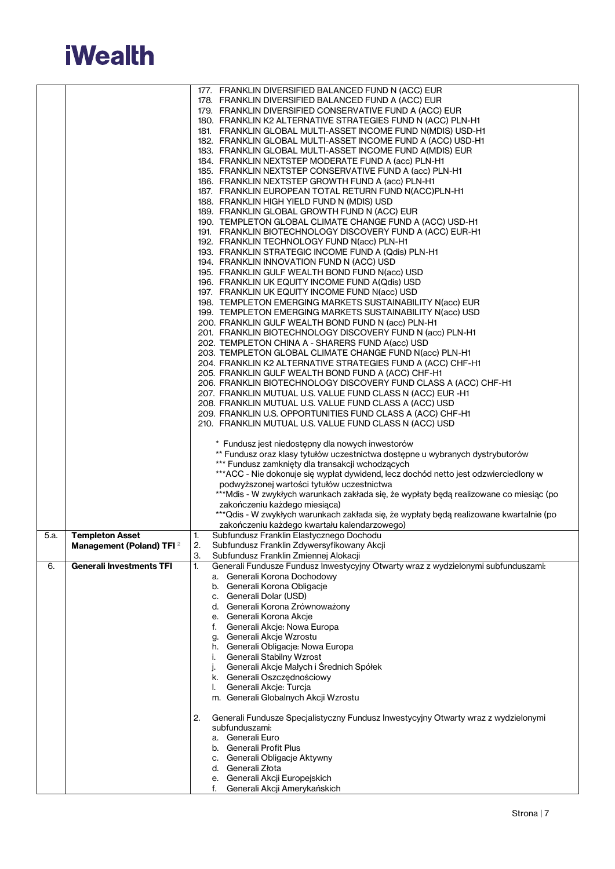

|      |                                      | 177. FRANKLIN DIVERSIFIED BALANCED FUND N (ACC) EUR                                      |
|------|--------------------------------------|------------------------------------------------------------------------------------------|
|      |                                      | 178. FRANKLIN DIVERSIFIED BALANCED FUND A (ACC) EUR                                      |
|      |                                      | 179. FRANKLIN DIVERSIFIED CONSERVATIVE FUND A (ACC) EUR                                  |
|      |                                      |                                                                                          |
|      |                                      | 180. FRANKLIN K2 ALTERNATIVE STRATEGIES FUND N (ACC) PLN-H1                              |
|      |                                      | 181. FRANKLIN GLOBAL MULTI-ASSET INCOME FUND N(MDIS) USD-H1                              |
|      |                                      | 182. FRANKLIN GLOBAL MULTI-ASSET INCOME FUND A (ACC) USD-H1                              |
|      |                                      | 183. FRANKLIN GLOBAL MULTI-ASSET INCOME FUND A(MDIS) EUR                                 |
|      |                                      | 184. FRANKLIN NEXTSTEP MODERATE FUND A (acc) PLN-H1                                      |
|      |                                      | 185. FRANKLIN NEXTSTEP CONSERVATIVE FUND A (acc) PLN-H1                                  |
|      |                                      | 186. FRANKLIN NEXTSTEP GROWTH FUND A (acc) PLN-H1                                        |
|      |                                      | 187. FRANKLIN EUROPEAN TOTAL RETURN FUND N(ACC)PLN-H1                                    |
|      |                                      | 188. FRANKLIN HIGH YIELD FUND N (MDIS) USD                                               |
|      |                                      | 189. FRANKLIN GLOBAL GROWTH FUND N (ACC) EUR                                             |
|      |                                      | 190. TEMPLETON GLOBAL CLIMATE CHANGE FUND A (ACC) USD-H1                                 |
|      |                                      | 191. FRANKLIN BIOTECHNOLOGY DISCOVERY FUND A (ACC) EUR-H1                                |
|      |                                      |                                                                                          |
|      |                                      | 192. FRANKLIN TECHNOLOGY FUND N(acc) PLN-H1                                              |
|      |                                      | 193. FRANKLIN STRATEGIC INCOME FUND A (Qdis) PLN-H1                                      |
|      |                                      | 194. FRANKLIN INNOVATION FUND N (ACC) USD                                                |
|      |                                      | 195. FRANKLIN GULF WEALTH BOND FUND N(acc) USD                                           |
|      |                                      | 196. FRANKLIN UK EQUITY INCOME FUND A(Qdis) USD                                          |
|      |                                      | 197. FRANKLIN UK EQUITY INCOME FUND N(acc) USD                                           |
|      |                                      | 198. TEMPLETON EMERGING MARKETS SUSTAINABILITY N(acc) EUR                                |
|      |                                      | 199. TEMPLETON EMERGING MARKETS SUSTAINABILITY N(acc) USD                                |
|      |                                      | 200. FRANKLIN GULF WEALTH BOND FUND N (acc) PLN-H1                                       |
|      |                                      | 201. FRANKLIN BIOTECHNOLOGY DISCOVERY FUND N (acc) PLN-H1                                |
|      |                                      | 202. TEMPLETON CHINA A - SHARERS FUND A(acc) USD                                         |
|      |                                      | 203. TEMPLETON GLOBAL CLIMATE CHANGE FUND N(acc) PLN-H1                                  |
|      |                                      | 204. FRANKLIN K2 ALTERNATIVE STRATEGIES FUND A (ACC) CHF-H1                              |
|      |                                      |                                                                                          |
|      |                                      | 205. FRANKLIN GULF WEALTH BOND FUND A (ACC) CHF-H1                                       |
|      |                                      | 206. FRANKLIN BIOTECHNOLOGY DISCOVERY FUND CLASS A (ACC) CHF-H1                          |
|      |                                      | 207. FRANKLIN MUTUAL U.S. VALUE FUND CLASS N (ACC) EUR -H1                               |
|      |                                      | 208. FRANKLIN MUTUAL U.S. VALUE FUND CLASS A (ACC) USD                                   |
|      |                                      | 209. FRANKLIN U.S. OPPORTUNITIES FUND CLASS A (ACC) CHF-H1                               |
|      |                                      | 210. FRANKLIN MUTUAL U.S. VALUE FUND CLASS N (ACC) USD                                   |
|      |                                      |                                                                                          |
|      |                                      | * Fundusz jest niedostępny dla nowych inwestorów                                         |
|      |                                      | ** Fundusz oraz klasy tytułów uczestnictwa dostępne u wybranych dystrybutorów            |
|      |                                      | *** Fundusz zamknięty dla transakcji wchodzących                                         |
|      |                                      | ***ACC - Nie dokonuje się wypłat dywidend, lecz dochód netto jest odzwierciedlony w      |
|      |                                      | podwyższonej wartości tytułów uczestnictwa                                               |
|      |                                      | ***Mdis - W zwykłych warunkach zakłada się, że wypłaty będą realizowane co miesiąc (po   |
|      |                                      | zakończeniu każdego miesiąca)                                                            |
|      |                                      | ***Qdis - W zwykłych warunkach zakłada się, że wypłaty będą realizowane kwartalnie (po   |
|      |                                      | zakończeniu każdego kwartału kalendarzowego)                                             |
|      |                                      |                                                                                          |
| 5.a. | <b>Templeton Asset</b>               | Subfundusz Franklin Elastycznego Dochodu<br>1.                                           |
|      | Management (Poland) TFI <sup>2</sup> | $\mathbf{2}$<br>Subfundusz Franklin Zdywersyfikowany Akcji                               |
|      |                                      | З.<br>Subfundusz Franklin Zmiennej Alokacji                                              |
| 6.   | <b>Generali Investments TFI</b>      | Generali Fundusze Fundusz Inwestycyjny Otwarty wraz z wydzielonymi subfunduszami:<br>1.  |
|      |                                      | a. Generali Korona Dochodowy                                                             |
|      |                                      | b. Generali Korona Obligacje                                                             |
|      |                                      | c. Generali Dolar (USD)                                                                  |
|      |                                      | d. Generali Korona Zrównoważony                                                          |
|      |                                      | e. Generali Korona Akcje                                                                 |
|      |                                      | f. Generali Akcje: Nowa Europa                                                           |
|      |                                      | g. Generali Akcje Wzrostu                                                                |
|      |                                      | h. Generali Obligacje: Nowa Europa                                                       |
|      |                                      | Generali Stabilny Wzrost<br>i.                                                           |
|      |                                      | Generali Akcje Małych i Średnich Spółek                                                  |
|      |                                      | k. Generali Oszczednościowy                                                              |
|      |                                      | Generali Akcje: Turcja<br>I.                                                             |
|      |                                      |                                                                                          |
|      |                                      | m. Generali Globalnych Akcji Wzrostu                                                     |
|      |                                      |                                                                                          |
|      |                                      | 2.<br>Generali Fundusze Specjalistyczny Fundusz Inwestycyjny Otwarty wraz z wydzielonymi |
|      |                                      | subfunduszami:                                                                           |
|      |                                      | a. Generali Euro                                                                         |
|      |                                      | b. Generali Profit Plus                                                                  |
|      |                                      | c. Generali Obligacje Aktywny                                                            |
|      |                                      | d. Generali Złota                                                                        |
|      |                                      | e. Generali Akcji Europejskich                                                           |
|      |                                      | Generali Akcji Amerykańskich                                                             |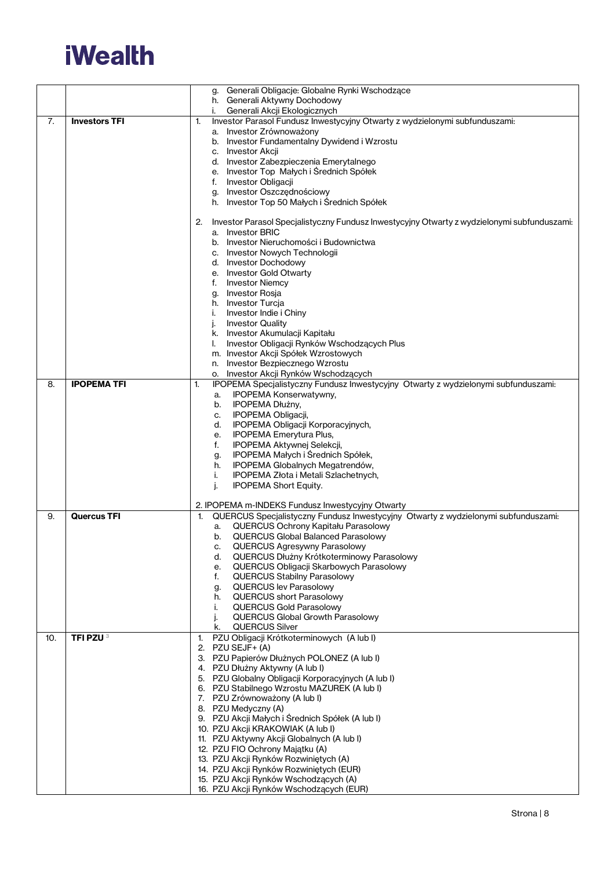

|     |                      | Generali Obligacje: Globalne Rynki Wschodzące<br>g.                                                                   |
|-----|----------------------|-----------------------------------------------------------------------------------------------------------------------|
|     |                      | h. Generali Aktywny Dochodowy                                                                                         |
|     |                      | Generali Akcji Ekologicznych<br>i.                                                                                    |
| 7.  | <b>Investors TFI</b> | Investor Parasol Fundusz Inwestycyjny Otwarty z wydzielonymi subfunduszami:<br>1.<br>a. Investor Zrównoważony         |
|     |                      | b. Investor Fundamentalny Dywidend i Wzrostu                                                                          |
|     |                      | c. Investor Akcji                                                                                                     |
|     |                      | d. Investor Zabezpieczenia Emerytalnego                                                                               |
|     |                      | e. Investor Top Małych i Średnich Spółek                                                                              |
|     |                      | f. Investor Obligacji                                                                                                 |
|     |                      | g. Investor Oszczędnościowy                                                                                           |
|     |                      | h. Investor Top 50 Małych i Średnich Spółek                                                                           |
|     |                      |                                                                                                                       |
|     |                      | Investor Parasol Specjalistyczny Fundusz Inwestycyjny Otwarty z wydzielonymi subfunduszami:<br>2.<br>a. Investor BRIC |
|     |                      | b. Investor Nieruchomości i Budownictwa                                                                               |
|     |                      | c. Investor Nowych Technologii                                                                                        |
|     |                      | d. Investor Dochodowy                                                                                                 |
|     |                      | e. Investor Gold Otwarty                                                                                              |
|     |                      | <b>Investor Niemcy</b><br>f.                                                                                          |
|     |                      | g. Investor Rosja                                                                                                     |
|     |                      | h. Investor Turcja                                                                                                    |
|     |                      | i.<br>Investor Indie i Chiny                                                                                          |
|     |                      | <b>Investor Quality</b><br>j.                                                                                         |
|     |                      | k. Investor Akumulacji Kapitału<br>Investor Obligacji Rynków Wschodzących Plus<br>I.                                  |
|     |                      | m. Investor Akcji Spółek Wzrostowych                                                                                  |
|     |                      | n. Investor Bezpiecznego Wzrostu                                                                                      |
|     |                      | o. Investor Akcji Rynków Wschodzących                                                                                 |
| 8.  | <b>IPOPEMA TFI</b>   | IPOPEMA Specjalistyczny Fundusz Inwestycyjny Otwarty z wydzielonymi subfunduszami:<br>1.                              |
|     |                      | <b>IPOPEMA Konserwatywny,</b><br>a.                                                                                   |
|     |                      | IPOPEMA Dłużny,<br>b.                                                                                                 |
|     |                      | IPOPEMA Obligacji,<br>c.                                                                                              |
|     |                      | IPOPEMA Obligacji Korporacyjnych,<br>d.                                                                               |
|     |                      | IPOPEMA Emerytura Plus,<br>е.<br>f.                                                                                   |
|     |                      | IPOPEMA Aktywnej Selekcji,<br>IPOPEMA Małych i Średnich Spółek,<br>g.                                                 |
|     |                      | IPOPEMA Globalnych Megatrendów,<br>h.                                                                                 |
|     |                      | IPOPEMA Złota i Metali Szlachetnych,<br>j.                                                                            |
|     |                      | j.<br><b>IPOPEMA Short Equity.</b>                                                                                    |
|     |                      |                                                                                                                       |
|     |                      | 2. IPOPEMA m-INDEKS Fundusz Inwestycyjny Otwarty                                                                      |
| 9.  | <b>Quercus TFI</b>   | QUERCUS Specjalistyczny Fundusz Inwestycyjny Otwarty z wydzielonymi subfunduszami:<br>$\mathbf{1}$ .                  |
|     |                      | QUERCUS Ochrony Kapitału Parasolowy<br>a.<br><b>QUERCUS Global Balanced Parasolowy</b>                                |
|     |                      | b.<br>QUERCUS Agresywny Parasolowy                                                                                    |
|     |                      | QUERCUS Dłużny Krótkoterminowy Parasolowy<br>d.                                                                       |
|     |                      | QUERCUS Obligacji Skarbowych Parasolowy<br>е.                                                                         |
|     |                      | <b>QUERCUS Stabilny Parasolowy</b><br>f.                                                                              |
|     |                      | <b>QUERCUS lev Parasolowy</b><br>g.                                                                                   |
|     |                      | <b>QUERCUS short Parasolowy</b><br>h.                                                                                 |
|     |                      | <b>QUERCUS Gold Parasolowy</b><br>i.                                                                                  |
|     |                      |                                                                                                                       |
|     |                      | j.<br><b>QUERCUS Global Growth Parasolowy</b>                                                                         |
| 10. |                      | QUERCUS Silver<br>k.                                                                                                  |
|     | TFI PZU <sup>3</sup> | PZU Obligacji Krótkoterminowych (A lub I)<br>1.                                                                       |
|     |                      | 2. PZU SEJF+ (A)                                                                                                      |
|     |                      | 3. PZU Papierów Dłużnych POLONEZ (A lub I)                                                                            |
|     |                      | 4. PZU Dłużny Aktywny (A lub I)                                                                                       |
|     |                      | 5. PZU Globalny Obligacji Korporacyjnych (A lub I)                                                                    |
|     |                      | 6. PZU Stabilnego Wzrostu MAZUREK (A lub I)<br>7. PZU Zrównoważony (A lub I)                                          |
|     |                      | 8. PZU Medyczny (A)                                                                                                   |
|     |                      | 9. PZU Akcji Małych i Średnich Spółek (A lub I)                                                                       |
|     |                      | 10. PZU Akcji KRAKOWIAK (A lub I)                                                                                     |
|     |                      | 11. PZU Aktywny Akcji Globalnych (A lub I)                                                                            |
|     |                      | 12. PZU FIO Ochrony Majątku (A)                                                                                       |
|     |                      | 13. PZU Akcji Rynków Rozwiniętych (A)                                                                                 |
|     |                      | 14. PZU Akcji Rynków Rozwiniętych (EUR)<br>15. PZU Akcji Rynków Wschodzących (A)                                      |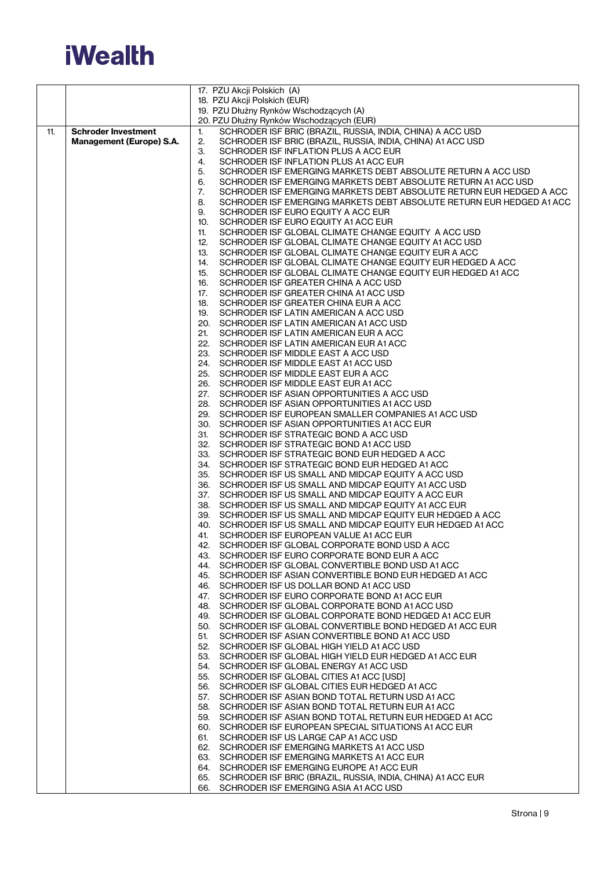

|     |                                 | 17. PZU Akcji Polskich (A)                                                                                        |
|-----|---------------------------------|-------------------------------------------------------------------------------------------------------------------|
|     |                                 | 18. PZU Akcji Polskich (EUR)                                                                                      |
|     |                                 | 19. PZU Dłużny Rynków Wschodzących (A)                                                                            |
| 11. | <b>Schroder Investment</b>      | 20. PZU Dłużny Rynków Wschodzących (EUR)<br>SCHRODER ISF BRIC (BRAZIL, RUSSIA, INDIA, CHINA) A ACC USD<br>1.      |
|     | <b>Management (Europe) S.A.</b> | SCHRODER ISF BRIC (BRAZIL, RUSSIA, INDIA, CHINA) A1 ACC USD<br>2.                                                 |
|     |                                 | 3.<br>SCHRODER ISF INFLATION PLUS A ACC EUR                                                                       |
|     |                                 | 4.<br>SCHRODER ISF INFLATION PLUS A1 ACC EUR                                                                      |
|     |                                 | 5.<br>SCHRODER ISF EMERGING MARKETS DEBT ABSOLUTE RETURN A ACC USD                                                |
|     |                                 | SCHRODER ISF EMERGING MARKETS DEBT ABSOLUTE RETURN A1 ACC USD<br>6.                                               |
|     |                                 | SCHRODER ISF EMERGING MARKETS DEBT ABSOLUTE RETURN EUR HEDGED A ACC<br>7.                                         |
|     |                                 | 8.<br>SCHRODER ISF EMERGING MARKETS DEBT ABSOLUTE RETURN EUR HEDGED A1 ACC                                        |
|     |                                 | 9.<br>SCHRODER ISF EURO EQUITY A ACC EUR<br>SCHRODER ISF EURO EQUITY A1 ACC EUR                                   |
|     |                                 | 10.<br>SCHRODER ISF GLOBAL CLIMATE CHANGE EQUITY A ACC USD<br>11.                                                 |
|     |                                 | SCHRODER ISF GLOBAL CLIMATE CHANGE EQUITY A1 ACC USD<br>12.                                                       |
|     |                                 | 13.<br>SCHRODER ISF GLOBAL CLIMATE CHANGE EQUITY EUR A ACC                                                        |
|     |                                 | SCHRODER ISF GLOBAL CLIMATE CHANGE EQUITY EUR HEDGED A ACC<br>14.                                                 |
|     |                                 | SCHRODER ISF GLOBAL CLIMATE CHANGE EQUITY EUR HEDGED A1 ACC<br>15.                                                |
|     |                                 | 16.<br>SCHRODER ISF GREATER CHINA A ACC USD                                                                       |
|     |                                 | SCHRODER ISF GREATER CHINA A1 ACC USD<br>17.                                                                      |
|     |                                 | 18.<br>SCHRODER ISF GREATER CHINA EUR A ACC<br>SCHRODER ISF LATIN AMERICAN A ACC USD<br>19.                       |
|     |                                 | 20. SCHRODER ISF LATIN AMERICAN A1 ACC USD                                                                        |
|     |                                 | 21.<br>SCHRODER ISF LATIN AMERICAN EUR A ACC                                                                      |
|     |                                 | 22. SCHRODER ISF LATIN AMERICAN EUR A1 ACC                                                                        |
|     |                                 | 23. SCHRODER ISF MIDDLE EAST A ACC USD                                                                            |
|     |                                 | 24. SCHRODER ISF MIDDLE EAST A1 ACC USD                                                                           |
|     |                                 | 25. SCHRODER ISF MIDDLE EAST EUR A ACC                                                                            |
|     |                                 | 26. SCHRODER ISF MIDDLE EAST EUR A1 ACC                                                                           |
|     |                                 | 27. SCHRODER ISF ASIAN OPPORTUNITIES A ACC USD<br>28. SCHRODER ISF ASIAN OPPORTUNITIES A1 ACC USD                 |
|     |                                 | 29. SCHRODER ISF EUROPEAN SMALLER COMPANIES A1 ACC USD                                                            |
|     |                                 | 30. SCHRODER ISF ASIAN OPPORTUNITIES A1 ACC EUR                                                                   |
|     |                                 | SCHRODER ISF STRATEGIC BOND A ACC USD<br>31.                                                                      |
|     |                                 | 32. SCHRODER ISF STRATEGIC BOND A1 ACC USD                                                                        |
|     |                                 | 33. SCHRODER ISF STRATEGIC BOND EUR HEDGED A ACC                                                                  |
|     |                                 | 34. SCHRODER ISF STRATEGIC BOND EUR HEDGED A1 ACC                                                                 |
|     |                                 | 35. SCHRODER ISF US SMALL AND MIDCAP EQUITY A ACC USD<br>36. SCHRODER ISF US SMALL AND MIDCAP EQUITY A1 ACC USD   |
|     |                                 | 37. SCHRODER ISF US SMALL AND MIDCAP EQUITY A ACC EUR                                                             |
|     |                                 | 38. SCHRODER ISF US SMALL AND MIDCAP EQUITY A1 ACC EUR                                                            |
|     |                                 | 39. SCHRODER ISF US SMALL AND MIDCAP EQUITY EUR HEDGED A ACC                                                      |
|     |                                 | 40. SCHRODER ISF US SMALL AND MIDCAP EQUITY EUR HEDGED A1 ACC                                                     |
|     |                                 | SCHRODER ISF EUROPEAN VALUE A1 ACC EUR<br>41.                                                                     |
|     |                                 | SCHRODER ISF GLOBAL CORPORATE BOND USD A ACC<br>42.<br>43. SCHRODER ISF EURO CORPORATE BOND EUR A ACC             |
|     |                                 | 44. SCHRODER ISF GLOBAL CONVERTIBLE BOND USD A1 ACC                                                               |
|     |                                 | 45. SCHRODER ISF ASIAN CONVERTIBLE BOND EUR HEDGED A1 ACC                                                         |
|     |                                 | 46. SCHRODER ISF US DOLLAR BOND A1 ACC USD                                                                        |
|     |                                 | 47. SCHRODER ISF EURO CORPORATE BOND A1 ACC EUR                                                                   |
|     |                                 | 48. SCHRODER ISF GLOBAL CORPORATE BOND A1 ACC USD                                                                 |
|     |                                 | 49. SCHRODER ISF GLOBAL CORPORATE BOND HEDGED A1 ACC EUR                                                          |
|     |                                 | 50. SCHRODER ISF GLOBAL CONVERTIBLE BOND HEDGED A1 ACC EUR                                                        |
|     |                                 | SCHRODER ISF ASIAN CONVERTIBLE BOND A1 ACC USD<br>51.<br>52. SCHRODER ISF GLOBAL HIGH YIELD A1 ACC USD            |
|     |                                 | 53. SCHRODER ISF GLOBAL HIGH YIELD EUR HEDGED A1 ACC EUR                                                          |
|     |                                 | 54. SCHRODER ISF GLOBAL ENERGY A1 ACC USD                                                                         |
|     |                                 | 55. SCHRODER ISF GLOBAL CITIES A1 ACC [USD]                                                                       |
|     |                                 | 56. SCHRODER ISF GLOBAL CITIES EUR HEDGED A1 ACC                                                                  |
|     |                                 | 57. SCHRODER ISF ASIAN BOND TOTAL RETURN USD A1 ACC                                                               |
|     |                                 | 58. SCHRODER ISF ASIAN BOND TOTAL RETURN EUR A1 ACC<br>59. SCHRODER ISF ASIAN BOND TOTAL RETURN EUR HEDGED A1 ACC |
|     |                                 | 60. SCHRODER ISF EUROPEAN SPECIAL SITUATIONS A1 ACC EUR                                                           |
|     |                                 | 61. SCHRODER ISF US LARGE CAP A1 ACC USD                                                                          |
|     |                                 | 62. SCHRODER ISF EMERGING MARKETS A1 ACC USD                                                                      |
|     |                                 | 63. SCHRODER ISF EMERGING MARKETS A1 ACC EUR                                                                      |
|     |                                 | 64. SCHRODER ISF EMERGING EUROPE A1 ACC EUR                                                                       |
|     |                                 | 65. SCHRODER ISF BRIC (BRAZIL, RUSSIA, INDIA, CHINA) A1 ACC EUR                                                   |
|     |                                 | 66. SCHRODER ISF EMERGING ASIA A1 ACC USD                                                                         |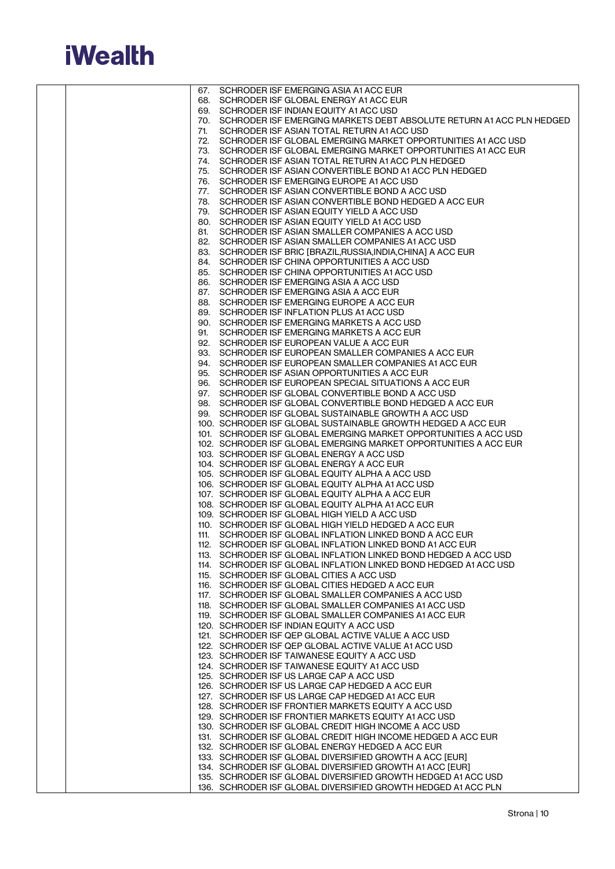

|     | 67. SCHRODER ISF EMERGING ASIA A1 ACC EUR                                                                                    |
|-----|------------------------------------------------------------------------------------------------------------------------------|
|     | 68. SCHRODER ISF GLOBAL ENERGY A1 ACC EUR                                                                                    |
|     | 69. SCHRODER ISF INDIAN EQUITY A1 ACC USD                                                                                    |
| 71. | 70. SCHRODER ISF EMERGING MARKETS DEBT ABSOLUTE RETURN A1 ACC PLN HEDGED<br>SCHRODER ISF ASIAN TOTAL RETURN A1 ACC USD       |
|     | 72. SCHRODER ISF GLOBAL EMERGING MARKET OPPORTUNITIES A1 ACC USD                                                             |
|     | 73. SCHRODER ISF GLOBAL EMERGING MARKET OPPORTUNITIES A1 ACC EUR                                                             |
|     | 74. SCHRODER ISF ASIAN TOTAL RETURN A1 ACC PLN HEDGED                                                                        |
|     | 75. SCHRODER ISF ASIAN CONVERTIBLE BOND A1 ACC PLN HEDGED                                                                    |
|     | 76. SCHRODER ISF EMERGING EUROPE A1 ACC USD                                                                                  |
|     | 77. SCHRODER ISF ASIAN CONVERTIBLE BOND A ACC USD                                                                            |
|     | 78. SCHRODER ISF ASIAN CONVERTIBLE BOND HEDGED A ACC EUR                                                                     |
|     | 79. SCHRODER ISF ASIAN EQUITY YIELD A ACC USD<br>80. SCHRODER ISF ASIAN EQUITY YIELD A1 ACC USD                              |
|     | 81. SCHRODER ISF ASIAN SMALLER COMPANIES A ACC USD                                                                           |
|     | 82. SCHRODER ISF ASIAN SMALLER COMPANIES A1 ACC USD                                                                          |
|     | 83. SCHRODER ISF BRIC [BRAZIL, RUSSIA, INDIA, CHINA] A ACC EUR                                                               |
|     | 84. SCHRODER ISF CHINA OPPORTUNITIES A ACC USD                                                                               |
|     | 85. SCHRODER ISF CHINA OPPORTUNITIES A1 ACC USD                                                                              |
|     | 86. SCHRODER ISF EMERGING ASIA A ACC USD                                                                                     |
|     | 87. SCHRODER ISF EMERGING ASIA A ACC EUR                                                                                     |
|     | 88. SCHRODER ISF EMERGING EUROPE A ACC EUR<br>89. SCHRODER ISF INFLATION PLUS A1 ACC USD                                     |
|     | 90. SCHRODER ISF EMERGING MARKETS A ACC USD                                                                                  |
|     | 91. SCHRODER ISF EMERGING MARKETS A ACC EUR                                                                                  |
|     | 92. SCHRODER ISF EUROPEAN VALUE A ACC EUR                                                                                    |
|     | 93. SCHRODER ISF EUROPEAN SMALLER COMPANIES A ACC EUR                                                                        |
|     | 94. SCHRODER ISF EUROPEAN SMALLER COMPANIES A1 ACC EUR                                                                       |
|     | 95. SCHRODER ISF ASIAN OPPORTUNITIES A ACC EUR                                                                               |
|     | 96. SCHRODER ISF EUROPEAN SPECIAL SITUATIONS A ACC EUR                                                                       |
|     | 97. SCHRODER ISF GLOBAL CONVERTIBLE BOND A ACC USD<br>98. SCHRODER ISF GLOBAL CONVERTIBLE BOND HEDGED A ACC EUR              |
|     | 99. SCHRODER ISF GLOBAL SUSTAINABLE GROWTH A ACC USD                                                                         |
|     | 100. SCHRODER ISF GLOBAL SUSTAINABLE GROWTH HEDGED A ACC EUR                                                                 |
|     | 101. SCHRODER ISF GLOBAL EMERGING MARKET OPPORTUNITIES A ACC USD                                                             |
|     | 102. SCHRODER ISF GLOBAL EMERGING MARKET OPPORTUNITIES A ACC EUR                                                             |
|     | 103. SCHRODER ISF GLOBAL ENERGY A ACC USD                                                                                    |
|     | 104. SCHRODER ISF GLOBAL ENERGY A ACC EUR<br>105. SCHRODER ISF GLOBAL EQUITY ALPHA A ACC USD                                 |
|     | 106. SCHRODER ISF GLOBAL EQUITY ALPHA A1 ACC USD                                                                             |
|     | 107. SCHRODER ISF GLOBAL EQUITY ALPHA A ACC EUR                                                                              |
|     | 108. SCHRODER ISF GLOBAL EQUITY ALPHA A1 ACC EUR                                                                             |
|     | 109. SCHRODER ISF GLOBAL HIGH YIELD A ACC USD                                                                                |
|     | 110. SCHRODER ISF GLOBAL HIGH YIELD HEDGED A ACC EUR                                                                         |
|     | 111. SCHRODER ISF GLOBAL INFLATION LINKED BOND A ACC EUR                                                                     |
|     | 112. SCHRODER ISF GLOBAL INFLATION LINKED BOND A1 ACC EUR<br>113. SCHRODER ISF GLOBAL INFLATION LINKED BOND HEDGED A ACC USD |
|     | 114. SCHRODER ISF GLOBAL INFLATION LINKED BOND HEDGED A1 ACC USD                                                             |
|     | 115. SCHRODER ISF GLOBAL CITIES A ACC USD                                                                                    |
|     | 116. SCHRODER ISF GLOBAL CITIES HEDGED A ACC EUR                                                                             |
|     | 117. SCHRODER ISF GLOBAL SMALLER COMPANIES A ACC USD                                                                         |
|     | 118. SCHRODER ISF GLOBAL SMALLER COMPANIES A1 ACC USD                                                                        |
|     | 119. SCHRODER ISF GLOBAL SMALLER COMPANIES A1 ACC EUR                                                                        |
|     | 120. SCHRODER ISF INDIAN EQUITY A ACC USD<br>121. SCHRODER ISF QEP GLOBAL ACTIVE VALUE A ACC USD                             |
|     | 122. SCHRODER ISF QEP GLOBAL ACTIVE VALUE A1 ACC USD                                                                         |
|     | 123. SCHRODER ISF TAIWANESE EQUITY A ACC USD                                                                                 |
|     | 124. SCHRODER ISF TAIWANESE EQUITY A1 ACC USD                                                                                |
|     | 125. SCHRODER ISF US LARGE CAP A ACC USD                                                                                     |
|     | 126. SCHRODER ISF US LARGE CAP HEDGED A ACC EUR                                                                              |
|     | 127. SCHRODER ISF US LARGE CAP HEDGED A1 ACC EUR                                                                             |
|     | 128. SCHRODER ISF FRONTIER MARKETS EQUITY A ACC USD<br>129. SCHRODER ISF FRONTIER MARKETS EQUITY A1 ACC USD                  |
|     | 130. SCHRODER ISF GLOBAL CREDIT HIGH INCOME A ACC USD                                                                        |
|     | 131. SCHRODER ISF GLOBAL CREDIT HIGH INCOME HEDGED A ACC EUR                                                                 |
|     | 132. SCHRODER ISF GLOBAL ENERGY HEDGED A ACC EUR                                                                             |
|     | 133. SCHRODER ISF GLOBAL DIVERSIFIED GROWTH A ACC [EUR]                                                                      |
|     | 134. SCHRODER ISF GLOBAL DIVERSIFIED GROWTH A1 ACC [EUR]                                                                     |
|     | 135. SCHRODER ISF GLOBAL DIVERSIFIED GROWTH HEDGED A1 ACC USD                                                                |
|     | 136. SCHRODER ISF GLOBAL DIVERSIFIED GROWTH HEDGED A1 ACC PLN                                                                |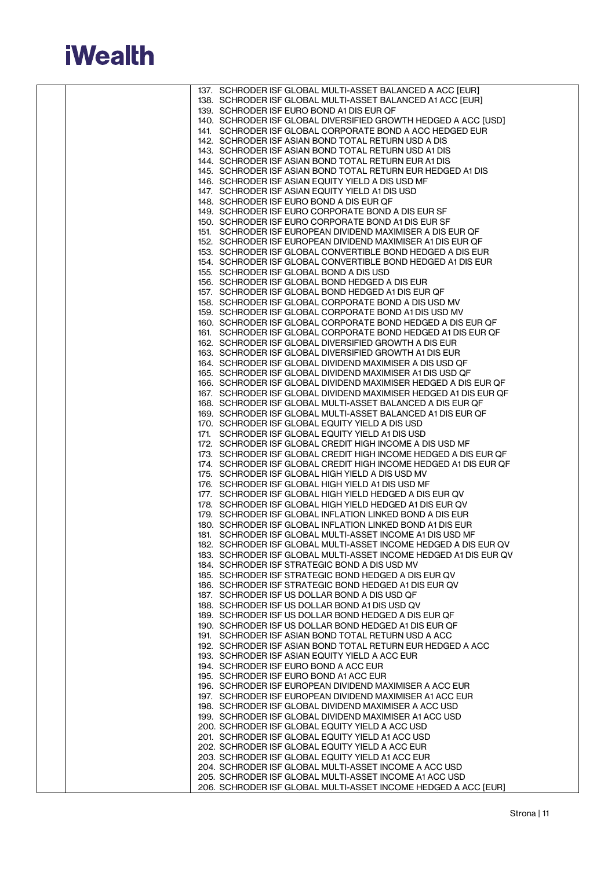

|  | 137. SCHRODER ISF GLOBAL MULTI-ASSET BALANCED A ACC [EUR]                                                                           |
|--|-------------------------------------------------------------------------------------------------------------------------------------|
|  | 138. SCHRODER ISF GLOBAL MULTI-ASSET BALANCED A1 ACC [EUR]                                                                          |
|  | 139. SCHRODER ISF EURO BOND A1 DIS EUR QF                                                                                           |
|  | 140. SCHRODER ISF GLOBAL DIVERSIFIED GROWTH HEDGED A ACC [USD]                                                                      |
|  | 141. SCHRODER ISF GLOBAL CORPORATE BOND A ACC HEDGED EUR                                                                            |
|  | 142. SCHRODER ISF ASIAN BOND TOTAL RETURN USD A DIS<br>143. SCHRODER ISF ASIAN BOND TOTAL RETURN USD A1 DIS                         |
|  | 144. SCHRODER ISF ASIAN BOND TOTAL RETURN EUR A1 DIS                                                                                |
|  | 145. SCHRODER ISF ASIAN BOND TOTAL RETURN EUR HEDGED A1 DIS                                                                         |
|  | 146. SCHRODER ISF ASIAN EQUITY YIELD A DIS USD MF                                                                                   |
|  | 147. SCHRODER ISF ASIAN EQUITY YIELD A1 DIS USD                                                                                     |
|  | 148. SCHRODER ISF EURO BOND A DIS EUR QF                                                                                            |
|  | 149. SCHRODER ISF EURO CORPORATE BOND A DIS EUR SF                                                                                  |
|  | 150. SCHRODER ISF EURO CORPORATE BOND A1 DIS EUR SF                                                                                 |
|  | 151. SCHRODER ISF EUROPEAN DIVIDEND MAXIMISER A DIS EUR QF                                                                          |
|  | 152. SCHRODER ISF EUROPEAN DIVIDEND MAXIMISER A1 DIS EUR OF                                                                         |
|  | 153. SCHRODER ISF GLOBAL CONVERTIBLE BOND HEDGED A DIS EUR                                                                          |
|  | 154. SCHRODER ISF GLOBAL CONVERTIBLE BOND HEDGED A1 DIS EUR                                                                         |
|  | 155. SCHRODER ISF GLOBAL BOND A DIS USD<br>156. SCHRODER ISF GLOBAL BOND HEDGED A DIS EUR                                           |
|  | 157. SCHRODER ISF GLOBAL BOND HEDGED A1 DIS EUR QF                                                                                  |
|  | 158. SCHRODER ISF GLOBAL CORPORATE BOND A DIS USD MV                                                                                |
|  | 159. SCHRODER ISF GLOBAL CORPORATE BOND A1 DIS USD MV                                                                               |
|  | 160. SCHRODER ISF GLOBAL CORPORATE BOND HEDGED A DIS EUR QF                                                                         |
|  | 161. SCHRODER ISF GLOBAL CORPORATE BOND HEDGED A1 DIS EUR QF                                                                        |
|  | 162. SCHRODER ISF GLOBAL DIVERSIFIED GROWTH A DIS EUR                                                                               |
|  | 163. SCHRODER ISF GLOBAL DIVERSIFIED GROWTH A1 DIS EUR                                                                              |
|  | 164. SCHRODER ISF GLOBAL DIVIDEND MAXIMISER A DIS USD QF                                                                            |
|  | 165. SCHRODER ISF GLOBAL DIVIDEND MAXIMISER A1 DIS USD QF                                                                           |
|  | 166. SCHRODER ISF GLOBAL DIVIDEND MAXIMISER HEDGED A DIS EUR OF<br>167. SCHRODER ISF GLOBAL DIVIDEND MAXIMISER HEDGED A1 DIS EUR QF |
|  | 168. SCHRODER ISF GLOBAL MULTI-ASSET BALANCED A DIS EUR QF                                                                          |
|  | 169. SCHRODER ISF GLOBAL MULTI-ASSET BALANCED A1 DIS EUR QF                                                                         |
|  | 170. SCHRODER ISF GLOBAL EQUITY YIELD A DIS USD                                                                                     |
|  | 171. SCHRODER ISF GLOBAL EQUITY YIELD A1 DIS USD                                                                                    |
|  | 172. SCHRODER ISF GLOBAL CREDIT HIGH INCOME A DIS USD MF                                                                            |
|  | 173. SCHRODER ISF GLOBAL CREDIT HIGH INCOME HEDGED A DIS EUR QF                                                                     |
|  | 174. SCHRODER ISF GLOBAL CREDIT HIGH INCOME HEDGED A1 DIS EUR QF                                                                    |
|  | 175. SCHRODER ISF GLOBAL HIGH YIELD A DIS USD MV                                                                                    |
|  | 176. SCHRODER ISF GLOBAL HIGH YIELD A1 DIS USD MF                                                                                   |
|  | 177. SCHRODER ISF GLOBAL HIGH YIELD HEDGED A DIS EUR QV<br>178. SCHRODER ISF GLOBAL HIGH YIELD HEDGED A1 DIS EUR QV                 |
|  | 179. SCHRODER ISF GLOBAL INFLATION LINKED BOND A DIS EUR                                                                            |
|  | 180. SCHRODER ISF GLOBAL INFLATION LINKED BOND A1 DIS EUR                                                                           |
|  | 181. SCHRODER ISF GLOBAL MULTI-ASSET INCOME A1 DIS USD MF                                                                           |
|  | 182. SCHRODER ISF GLOBAL MULTI-ASSET INCOME HEDGED A DIS EUR QV                                                                     |
|  | 183. SCHRODER ISF GLOBAL MULTI-ASSET INCOME HEDGED A1 DIS EUR QV                                                                    |
|  | 184. SCHRODER ISF STRATEGIC BOND A DIS USD MV                                                                                       |
|  | 185. SCHRODER ISF STRATEGIC BOND HEDGED A DIS EUR QV                                                                                |
|  | 186. SCHRODER ISF STRATEGIC BOND HEDGED A1 DIS EUR QV<br>187. SCHRODER ISF US DOLLAR BOND A DIS USD QF                              |
|  | 188. SCHRODER ISF US DOLLAR BOND A1 DIS USD QV                                                                                      |
|  | 189. SCHRODER ISF US DOLLAR BOND HEDGED A DIS EUR QF                                                                                |
|  | 190. SCHRODER ISF US DOLLAR BOND HEDGED A1 DIS EUR QF                                                                               |
|  | 191. SCHRODER ISF ASIAN BOND TOTAL RETURN USD A ACC                                                                                 |
|  | 192. SCHRODER ISF ASIAN BOND TOTAL RETURN EUR HEDGED A ACC                                                                          |
|  | 193. SCHRODER ISF ASIAN EQUITY YIELD A ACC EUR                                                                                      |
|  | 194. SCHRODER ISF EURO BOND A ACC EUR                                                                                               |
|  | 195. SCHRODER ISF EURO BOND A1 ACC EUR                                                                                              |
|  | 196. SCHRODER ISF EUROPEAN DIVIDEND MAXIMISER A ACC EUR                                                                             |
|  | 197. SCHRODER ISF EUROPEAN DIVIDEND MAXIMISER A1 ACC EUR<br>198. SCHRODER ISF GLOBAL DIVIDEND MAXIMISER A ACC USD                   |
|  | 199. SCHRODER ISF GLOBAL DIVIDEND MAXIMISER A1 ACC USD                                                                              |
|  | 200. SCHRODER ISF GLOBAL EQUITY YIELD A ACC USD                                                                                     |
|  | 201. SCHRODER ISF GLOBAL EQUITY YIELD A1 ACC USD                                                                                    |
|  | 202. SCHRODER ISF GLOBAL EQUITY YIELD A ACC EUR                                                                                     |
|  | 203. SCHRODER ISF GLOBAL EQUITY YIELD A1 ACC EUR                                                                                    |
|  | 204. SCHRODER ISF GLOBAL MULTI-ASSET INCOME A ACC USD                                                                               |
|  | 205. SCHRODER ISF GLOBAL MULTI-ASSET INCOME A1 ACC USD                                                                              |
|  | 206. SCHRODER ISF GLOBAL MULTI-ASSET INCOME HEDGED A ACC [EUR]                                                                      |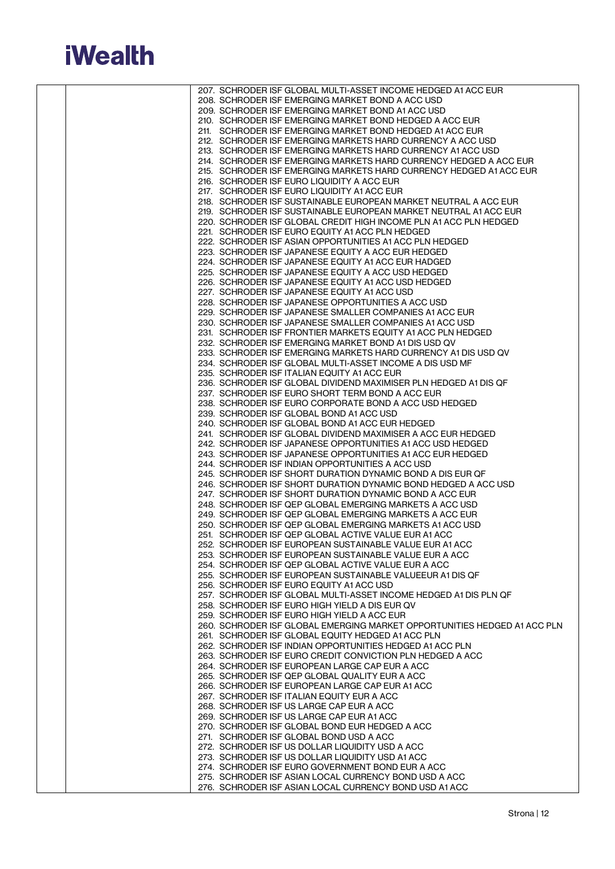

|  | 207. SCHRODER ISF GLOBAL MULTI-ASSET INCOME HEDGED A1 ACC EUR                                                  |
|--|----------------------------------------------------------------------------------------------------------------|
|  | 208. SCHRODER ISF EMERGING MARKET BOND A ACC USD                                                               |
|  | 209. SCHRODER ISF EMERGING MARKET BOND A1 ACC USD                                                              |
|  | 210. SCHRODER ISF EMERGING MARKET BOND HEDGED A ACC EUR                                                        |
|  | 211. SCHRODER ISF EMERGING MARKET BOND HEDGED A1 ACC EUR                                                       |
|  | 212. SCHRODER ISF EMERGING MARKETS HARD CURRENCY A ACC USD                                                     |
|  | 213. SCHRODER ISF EMERGING MARKETS HARD CURRENCY A1 ACC USD                                                    |
|  | 214. SCHRODER ISF EMERGING MARKETS HARD CURRENCY HEDGED A ACC EUR                                              |
|  | 215. SCHRODER ISF EMERGING MARKETS HARD CURRENCY HEDGED A1 ACC EUR                                             |
|  | 216. SCHRODER ISF EURO LIQUIDITY A ACC EUR                                                                     |
|  | 217. SCHRODER ISF EURO LIQUIDITY A1 ACC EUR<br>218. SCHRODER ISF SUSTAINABLE EUROPEAN MARKET NEUTRAL A ACC EUR |
|  | 219. SCHRODER ISF SUSTAINABLE EUROPEAN MARKET NEUTRAL A1 ACC EUR                                               |
|  | 220. SCHRODER ISF GLOBAL CREDIT HIGH INCOME PLN A1 ACC PLN HEDGED                                              |
|  | 221. SCHRODER ISF EURO EQUITY A1 ACC PLN HEDGED                                                                |
|  | 222. SCHRODER ISF ASIAN OPPORTUNITIES A1 ACC PLN HEDGED                                                        |
|  | 223. SCHRODER ISF JAPANESE EQUITY A ACC EUR HEDGED                                                             |
|  | 224. SCHRODER ISF JAPANESE EQUITY A1 ACC EUR HADGED                                                            |
|  | 225. SCHRODER ISF JAPANESE EQUITY A ACC USD HEDGED                                                             |
|  | 226. SCHRODER ISF JAPANESE EQUITY A1 ACC USD HEDGED                                                            |
|  | 227. SCHRODER ISF JAPANESE EQUITY A1 ACC USD                                                                   |
|  | 228. SCHRODER ISF JAPANESE OPPORTUNITIES A ACC USD                                                             |
|  | 229. SCHRODER ISF JAPANESE SMALLER COMPANIES A1 ACC EUR                                                        |
|  | 230. SCHRODER ISF JAPANESE SMALLER COMPANIES A1 ACC USD                                                        |
|  | 231. SCHRODER ISF FRONTIER MARKETS EQUITY A1 ACC PLN HEDGED                                                    |
|  | 232. SCHRODER ISF EMERGING MARKET BOND A1 DIS USD QV                                                           |
|  | 233. SCHRODER ISF EMERGING MARKETS HARD CURRENCY A1 DIS USD QV                                                 |
|  | 234. SCHRODER ISF GLOBAL MULTI-ASSET INCOME A DIS USD MF                                                       |
|  | 235. SCHRODER ISF ITALIAN EQUITY A1 ACC EUR                                                                    |
|  | 236. SCHRODER ISF GLOBAL DIVIDEND MAXIMISER PLN HEDGED A1 DIS QF                                               |
|  | 237. SCHRODER ISF EURO SHORT TERM BOND A ACC EUR                                                               |
|  | 238. SCHRODER ISF EURO CORPORATE BOND A ACC USD HEDGED                                                         |
|  | 239. SCHRODER ISF GLOBAL BOND A1 ACC USD                                                                       |
|  | 240. SCHRODER ISF GLOBAL BOND A1 ACC EUR HEDGED                                                                |
|  | 241. SCHRODER ISF GLOBAL DIVIDEND MAXIMISER A ACC EUR HEDGED                                                   |
|  | 242. SCHRODER ISF JAPANESE OPPORTUNITIES A1 ACC USD HEDGED                                                     |
|  | 243. SCHRODER ISF JAPANESE OPPORTUNITIES A1 ACC EUR HEDGED                                                     |
|  | 244. SCHRODER ISF INDIAN OPPORTUNITIES A ACC USD<br>245. SCHRODER ISF SHORT DURATION DYNAMIC BOND A DIS EUR QF |
|  | 246. SCHRODER ISF SHORT DURATION DYNAMIC BOND HEDGED A ACC USD                                                 |
|  | 247. SCHRODER ISF SHORT DURATION DYNAMIC BOND A ACC EUR                                                        |
|  | 248. SCHRODER ISF QEP GLOBAL EMERGING MARKETS A ACC USD                                                        |
|  | 249. SCHRODER ISF QEP GLOBAL EMERGING MARKETS A ACC EUR                                                        |
|  | 250. SCHRODER ISF QEP GLOBAL EMERGING MARKETS A1 ACC USD                                                       |
|  | 251. SCHRODER ISF QEP GLOBAL ACTIVE VALUE EUR A1 ACC                                                           |
|  | 252. SCHRODER ISF EUROPEAN SUSTAINABLE VALUE EUR A1 ACC.                                                       |
|  | 253. SCHRODER ISF EUROPEAN SUSTAINABLE VALUE EUR A ACC                                                         |
|  | 254. SCHRODER ISF QEP GLOBAL ACTIVE VALUE EUR A ACC                                                            |
|  | 255. SCHRODER ISF EUROPEAN SUSTAINABLE VALUEEUR A1 DIS QF                                                      |
|  | 256. SCHRODER ISF EURO EQUITY A1 ACC USD                                                                       |
|  | 257. SCHRODER ISF GLOBAL MULTI-ASSET INCOME HEDGED A1 DIS PLN QF                                               |
|  | 258. SCHRODER ISF EURO HIGH YIELD A DIS EUR QV                                                                 |
|  | 259. SCHRODER ISF EURO HIGH YIELD A ACC EUR                                                                    |
|  | 260. SCHRODER ISF GLOBAL EMERGING MARKET OPPORTUNITIES HEDGED A1 ACC PLN                                       |
|  | 261. SCHRODER ISF GLOBAL EQUITY HEDGED A1 ACC PLN                                                              |
|  | 262. SCHRODER ISF INDIAN OPPORTUNITIES HEDGED A1 ACC PLN                                                       |
|  | 263. SCHRODER ISF EURO CREDIT CONVICTION PLN HEDGED A ACC                                                      |
|  | 264. SCHRODER ISF EUROPEAN LARGE CAP EUR A ACC                                                                 |
|  | 265. SCHRODER ISF QEP GLOBAL QUALITY EUR A ACC                                                                 |
|  | 266. SCHRODER ISF EUROPEAN LARGE CAP EUR A1 ACC                                                                |
|  | 267. SCHRODER ISF ITALIAN EQUITY EUR A ACC                                                                     |
|  | 268. SCHRODER ISF US LARGE CAP EUR A ACC                                                                       |
|  | 269. SCHRODER ISF US LARGE CAP EUR A1 ACC                                                                      |
|  | 270. SCHRODER ISF GLOBAL BOND EUR HEDGED A ACC                                                                 |
|  | 271. SCHRODER ISF GLOBAL BOND USD A ACC<br>272. SCHRODER ISF US DOLLAR LIQUIDITY USD A ACC                     |
|  | 273. SCHRODER ISF US DOLLAR LIQUIDITY USD A1 ACC                                                               |
|  | 274. SCHRODER ISF EURO GOVERNMENT BOND EUR A ACC                                                               |
|  | 275. SCHRODER ISF ASIAN LOCAL CURRENCY BOND USD A ACC                                                          |
|  | 276. SCHRODER ISF ASIAN LOCAL CURRENCY BOND USD A1 ACC                                                         |
|  |                                                                                                                |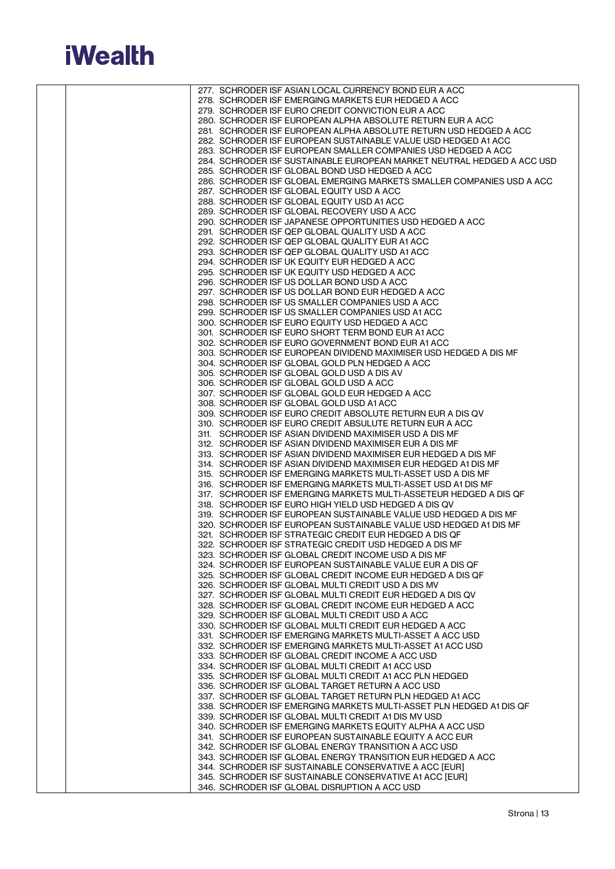

|  | 277. SCHRODER ISF ASIAN LOCAL CURRENCY BOND EUR A ACC                  |
|--|------------------------------------------------------------------------|
|  | 278. SCHRODER ISF EMERGING MARKETS EUR HEDGED A ACC                    |
|  |                                                                        |
|  | 279. SCHRODER ISF EURO CREDIT CONVICTION EUR A ACC                     |
|  | 280. SCHRODER ISF EUROPEAN ALPHA ABSOLUTE RETURN EUR A ACC             |
|  | 281. SCHRODER ISF EUROPEAN ALPHA ABSOLUTE RETURN USD HEDGED A ACC      |
|  |                                                                        |
|  | 282. SCHRODER ISF EUROPEAN SUSTAINABLE VALUE USD HEDGED A1 ACC         |
|  | 283. SCHRODER ISF EUROPEAN SMALLER COMPANIES USD HEDGED A ACC          |
|  |                                                                        |
|  | 284. SCHRODER ISF SUSTAINABLE EUROPEAN MARKET NEUTRAL HEDGED A ACC USD |
|  | 285. SCHRODER ISF GLOBAL BOND USD HEDGED A ACC                         |
|  | 286. SCHRODER ISF GLOBAL EMERGING MARKETS SMALLER COMPANIES USD A ACC  |
|  |                                                                        |
|  | 287. SCHRODER ISF GLOBAL EQUITY USD A ACC                              |
|  | 288. SCHRODER ISF GLOBAL EQUITY USD A1 ACC                             |
|  |                                                                        |
|  | 289. SCHRODER ISF GLOBAL RECOVERY USD A ACC                            |
|  | 290. SCHRODER ISF JAPANESE OPPORTUNITIES USD HEDGED A ACC              |
|  |                                                                        |
|  | 291. SCHRODER ISF QEP GLOBAL QUALITY USD A ACC                         |
|  | 292. SCHRODER ISF QEP GLOBAL QUALITY EUR A1 ACC                        |
|  | 293. SCHRODER ISF QEP GLOBAL QUALITY USD A1 ACC                        |
|  |                                                                        |
|  | 294. SCHRODER ISF UK EQUITY EUR HEDGED A ACC                           |
|  | 295. SCHRODER ISF UK EQUITY USD HEDGED A ACC                           |
|  |                                                                        |
|  | 296. SCHRODER ISF US DOLLAR BOND USD A ACC                             |
|  | 297. SCHRODER ISF US DOLLAR BOND EUR HEDGED A ACC                      |
|  | 298. SCHRODER ISF US SMALLER COMPANIES USD A ACC                       |
|  |                                                                        |
|  | 299. SCHRODER ISF US SMALLER COMPANIES USD A1 ACC                      |
|  | 300. SCHRODER ISF EURO EQUITY USD HEDGED A ACC                         |
|  |                                                                        |
|  | 301. SCHRODER ISF EURO SHORT TERM BOND EUR A1 ACC                      |
|  | 302. SCHRODER ISF EURO GOVERNMENT BOND EUR A1 ACC                      |
|  | 303. SCHRODER ISF EUROPEAN DIVIDEND MAXIMISER USD HEDGED A DIS MF      |
|  |                                                                        |
|  | 304. SCHRODER ISF GLOBAL GOLD PLN HEDGED A ACC                         |
|  | 305. SCHRODER ISF GLOBAL GOLD USD A DIS AV                             |
|  |                                                                        |
|  | 306. SCHRODER ISF GLOBAL GOLD USD A ACC                                |
|  | 307. SCHRODER ISF GLOBAL GOLD EUR HEDGED A ACC                         |
|  |                                                                        |
|  | 308. SCHRODER ISF GLOBAL GOLD USD A1 ACC                               |
|  | 309. SCHRODER ISF EURO CREDIT ABSOLUTE RETURN EUR A DIS QV             |
|  | 310. SCHRODER ISF EURO CREDIT ABSULUTE RETURN EUR A ACC                |
|  |                                                                        |
|  | 311. SCHRODER ISF ASIAN DIVIDEND MAXIMISER USD A DIS MF                |
|  | 312. SCHRODER ISF ASIAN DIVIDEND MAXIMISER EUR A DIS MF                |
|  |                                                                        |
|  | 313. SCHRODER ISF ASIAN DIVIDEND MAXIMISER EUR HEDGED A DIS MF         |
|  | 314. SCHRODER ISF ASIAN DIVIDEND MAXIMISER EUR HEDGED A1 DIS MF        |
|  |                                                                        |
|  | 315. SCHRODER ISF EMERGING MARKETS MULTI-ASSET USD A DIS MF            |
|  | 316. SCHRODER ISF EMERGING MARKETS MULTI-ASSET USD A1 DIS MF           |
|  | 317. SCHRODER ISF EMERGING MARKETS MULTI-ASSETEUR HEDGED A DIS OF      |
|  |                                                                        |
|  | 318. SCHRODER ISF EURO HIGH YIELD USD HEDGED A DIS QV                  |
|  | 319. SCHRODER ISF EUROPEAN SUSTAINABLE VALUE USD HEDGED A DIS MF       |
|  |                                                                        |
|  | 320. SCHRODER ISF EUROPEAN SUSTAINABLE VALUE USD HEDGED A1 DIS MF      |
|  | 321. SCHRODER ISF STRATEGIC CREDIT EUR HEDGED A DIS QF                 |
|  | 322. SCHRODER ISF STRATEGIC CREDIT USD HEDGED A DIS MF                 |
|  |                                                                        |
|  | 323. SCHRODER ISF GLOBAL CREDIT INCOME USD A DIS MF                    |
|  | 324. SCHRODER ISF EUROPEAN SUSTAINABLE VALUE EUR A DIS QF              |
|  |                                                                        |
|  | 325. SCHRODER ISF GLOBAL CREDIT INCOME EUR HEDGED A DIS QF             |
|  | 326. SCHRODER ISF GLOBAL MULTI CREDIT USD A DIS MV                     |
|  | 327. SCHRODER ISF GLOBAL MULTI CREDIT EUR HEDGED A DIS QV              |
|  |                                                                        |
|  | 328. SCHRODER ISF GLOBAL CREDIT INCOME EUR HEDGED A ACC                |
|  | 329. SCHRODER ISF GLOBAL MULTI CREDIT USD A ACC                        |
|  |                                                                        |
|  | 330. SCHRODER ISF GLOBAL MULTI CREDIT EUR HEDGED A ACC                 |
|  | 331. SCHRODER ISF EMERGING MARKETS MULTI-ASSET A ACC USD               |
|  | 332. SCHRODER ISF EMERGING MARKETS MULTI-ASSET A1 ACC USD              |
|  |                                                                        |
|  | 333. SCHRODER ISF GLOBAL CREDIT INCOME A ACC USD                       |
|  | 334. SCHRODER ISF GLOBAL MULTI CREDIT A1 ACC USD                       |
|  |                                                                        |
|  | 335. SCHRODER ISF GLOBAL MULTI CREDIT A1 ACC PLN HEDGED                |
|  | 336. SCHRODER ISF GLOBAL TARGET RETURN A ACC USD                       |
|  | 337. SCHRODER ISF GLOBAL TARGET RETURN PLN HEDGED A1 ACC               |
|  |                                                                        |
|  | 338. SCHRODER ISF EMERGING MARKETS MULTI-ASSET PLN HEDGED A1 DIS QF    |
|  | 339. SCHRODER ISF GLOBAL MULTI CREDIT A1 DIS MV USD                    |
|  |                                                                        |
|  | 340. SCHRODER ISF EMERGING MARKETS EQUITY ALPHA A ACC USD              |
|  | 341. SCHRODER ISF EUROPEAN SUSTAINABLE EQUITY A ACC EUR                |
|  | 342. SCHRODER ISF GLOBAL ENERGY TRANSITION A ACC USD                   |
|  |                                                                        |
|  | 343. SCHRODER ISF GLOBAL ENERGY TRANSITION EUR HEDGED A ACC            |
|  | 344. SCHRODER ISF SUSTAINABLE CONSERVATIVE A ACC [EUR]                 |
|  |                                                                        |
|  | 345. SCHRODER ISF SUSTAINABLE CONSERVATIVE A1 ACC [EUR]                |
|  | 346. SCHRODER ISF GLOBAL DISRUPTION A ACC USD                          |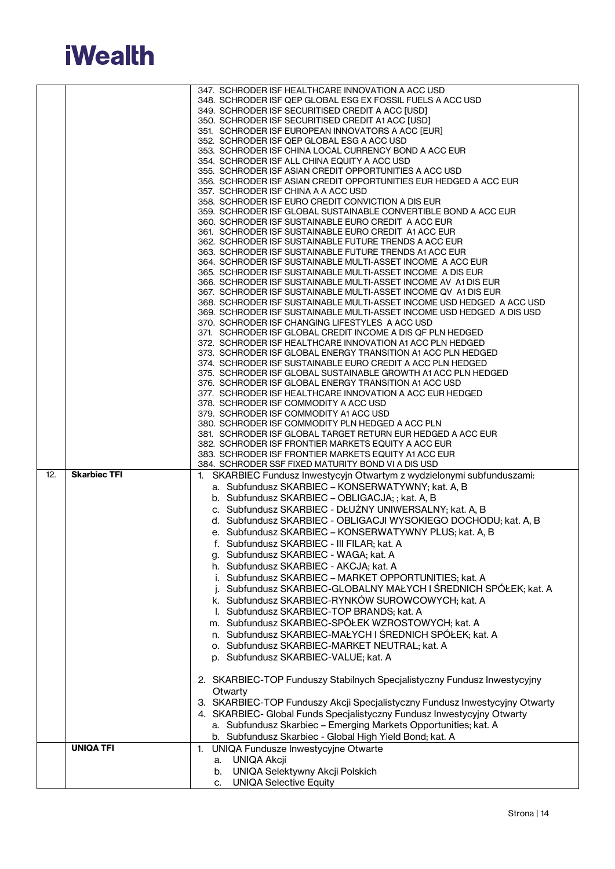

|     |                     | 347. SCHRODER ISF HEALTHCARE INNOVATION A ACC USD                           |
|-----|---------------------|-----------------------------------------------------------------------------|
|     |                     |                                                                             |
|     |                     | 348. SCHRODER ISF QEP GLOBAL ESG EX FOSSIL FUELS A ACC USD                  |
|     |                     | 349. SCHRODER ISF SECURITISED CREDIT A ACC [USD]                            |
|     |                     | 350. SCHRODER ISF SECURITISED CREDIT A1 ACC [USD]                           |
|     |                     | 351. SCHRODER ISF EUROPEAN INNOVATORS A ACC [EUR]                           |
|     |                     | 352. SCHRODER ISF QEP GLOBAL ESG A ACC USD                                  |
|     |                     | 353. SCHRODER ISF CHINA LOCAL CURRENCY BOND A ACC EUR                       |
|     |                     | 354. SCHRODER ISF ALL CHINA EQUITY A ACC USD                                |
|     |                     | 355. SCHRODER ISF ASIAN CREDIT OPPORTUNITIES A ACC USD                      |
|     |                     | 356. SCHRODER ISF ASIAN CREDIT OPPORTUNITIES EUR HEDGED A ACC EUR           |
|     |                     | 357. SCHRODER ISF CHINA A A ACC USD                                         |
|     |                     | 358. SCHRODER ISF EURO CREDIT CONVICTION A DIS EUR                          |
|     |                     | 359. SCHRODER ISF GLOBAL SUSTAINABLE CONVERTIBLE BOND A ACC EUR             |
|     |                     | 360. SCHRODER ISF SUSTAINABLE EURO CREDIT A ACC EUR                         |
|     |                     | 361. SCHRODER ISF SUSTAINABLE EURO CREDIT A1 ACC EUR                        |
|     |                     | 362. SCHRODER ISF SUSTAINABLE FUTURE TRENDS A ACC EUR                       |
|     |                     | 363. SCHRODER ISF SUSTAINABLE FUTURE TRENDS A1 ACC EUR                      |
|     |                     | 364. SCHRODER ISF SUSTAINABLE MULTI-ASSET INCOME A ACC EUR                  |
|     |                     | 365. SCHRODER ISF SUSTAINABLE MULTI-ASSET INCOME A DIS EUR                  |
|     |                     | 366. SCHRODER ISF SUSTAINABLE MULTI-ASSET INCOME AV A1 DIS EUR              |
|     |                     | 367. SCHRODER ISF SUSTAINABLE MULTI-ASSET INCOME QV A1 DIS EUR              |
|     |                     | 368. SCHRODER ISF SUSTAINABLE MULTI-ASSET INCOME USD HEDGED A ACC USD       |
|     |                     | 369. SCHRODER ISF SUSTAINABLE MULTI-ASSET INCOME USD HEDGED A DIS USD       |
|     |                     | 370. SCHRODER ISF CHANGING LIFESTYLES A ACC USD                             |
|     |                     |                                                                             |
|     |                     | 371. SCHRODER ISF GLOBAL CREDIT INCOME A DIS QF PLN HEDGED                  |
|     |                     | 372. SCHRODER ISF HEALTHCARE INNOVATION A1 ACC PLN HEDGED                   |
|     |                     | 373. SCHRODER ISF GLOBAL ENERGY TRANSITION A1 ACC PLN HEDGED                |
|     |                     | 374. SCHRODER ISF SUSTAINABLE EURO CREDIT A ACC PLN HEDGED                  |
|     |                     | 375. SCHRODER ISF GLOBAL SUSTAINABLE GROWTH A1 ACC PLN HEDGED               |
|     |                     | 376. SCHRODER ISF GLOBAL ENERGY TRANSITION A1 ACC USD                       |
|     |                     | 377. SCHRODER ISF HEALTHCARE INNOVATION A ACC EUR HEDGED                    |
|     |                     | 378. SCHRODER ISF COMMODITY A ACC USD                                       |
|     |                     | 379. SCHRODER ISF COMMODITY A1 ACC USD                                      |
|     |                     | 380. SCHRODER ISF COMMODITY PLN HEDGED A ACC PLN                            |
|     |                     | 381. SCHRODER ISF GLOBAL TARGET RETURN EUR HEDGED A ACC EUR                 |
|     |                     |                                                                             |
|     |                     | 382. SCHRODER ISF FRONTIER MARKETS EQUITY A ACC EUR                         |
|     |                     | 383. SCHRODER ISF FRONTIER MARKETS EQUITY A1 ACC EUR                        |
|     |                     | 384. SCHRODER SSF FIXED MATURITY BOND VI A DIS USD                          |
| 12. | <b>Skarbiec TFI</b> | 1. SKARBIEC Fundusz Inwestycyjn Otwartym z wydzielonymi subfunduszami:      |
|     |                     |                                                                             |
|     |                     | a. Subfundusz SKARBIEC - KONSERWATYWNY; kat. A, B                           |
|     |                     | b. Subfundusz SKARBIEC - OBLIGACJA; ; kat. A, B                             |
|     |                     | c. Subfundusz SKARBIEC - DŁUŻNY UNIWERSALNY; kat. A, B                      |
|     |                     | d. Subfundusz SKARBIEC - OBLIGACJI WYSOKIEGO DOCHODU; kat. A, B             |
|     |                     | e. Subfundusz SKARBIEC - KONSERWATYWNY PLUS; kat. A, B                      |
|     |                     | f. Subfundusz SKARBIEC - III FILAR; kat. A                                  |
|     |                     |                                                                             |
|     |                     | g. Subfundusz SKARBIEC - WAGA; kat. A                                       |
|     |                     | h. Subfundusz SKARBIEC - AKCJA; kat. A                                      |
|     |                     | i. Subfundusz SKARBIEC - MARKET OPPORTUNITIES; kat. A                       |
|     |                     | j. Subfundusz SKARBIEC-GLOBALNY MAŁYCH I ŚREDNICH SPÓŁEK; kat. A            |
|     |                     | k. Subfundusz SKARBIEC-RYNKÓW SUROWCOWYCH; kat. A                           |
|     |                     | I. Subfundusz SKARBIEC-TOP BRANDS; kat. A                                   |
|     |                     | m. Subfundusz SKARBIEC-SPÓŁEK WZROSTOWYCH; kat. A                           |
|     |                     |                                                                             |
|     |                     | n. Subfundusz SKARBIEC-MAŁYCH I ŚREDNICH SPÓŁEK; kat. A                     |
|     |                     | o. Subfundusz SKARBIEC-MARKET NEUTRAL; kat. A                               |
|     |                     | p. Subfundusz SKARBIEC-VALUE; kat. A                                        |
|     |                     |                                                                             |
|     |                     | 2. SKARBIEC-TOP Funduszy Stabilnych Specjalistyczny Fundusz Inwestycyjny    |
|     |                     | Otwarty                                                                     |
|     |                     | 3. SKARBIEC-TOP Funduszy Akcji Specjalistyczny Fundusz Inwestycyjny Otwarty |
|     |                     | 4. SKARBIEC- Global Funds Specjalistyczny Fundusz Inwestycyjny Otwarty      |
|     |                     |                                                                             |
|     |                     | a. Subfundusz Skarbiec - Emerging Markets Opportunities; kat. A             |
|     |                     | b. Subfundusz Skarbiec - Global High Yield Bond; kat. A                     |
|     | <b>UNIQA TFI</b>    | UNIQA Fundusze Inwestycyjne Otwarte<br>1.                                   |
|     |                     | a. UNIQA Akcji                                                              |
|     |                     | b. UNIQA Selektywny Akcji Polskich<br>c. UNIQA Selective Equity             |